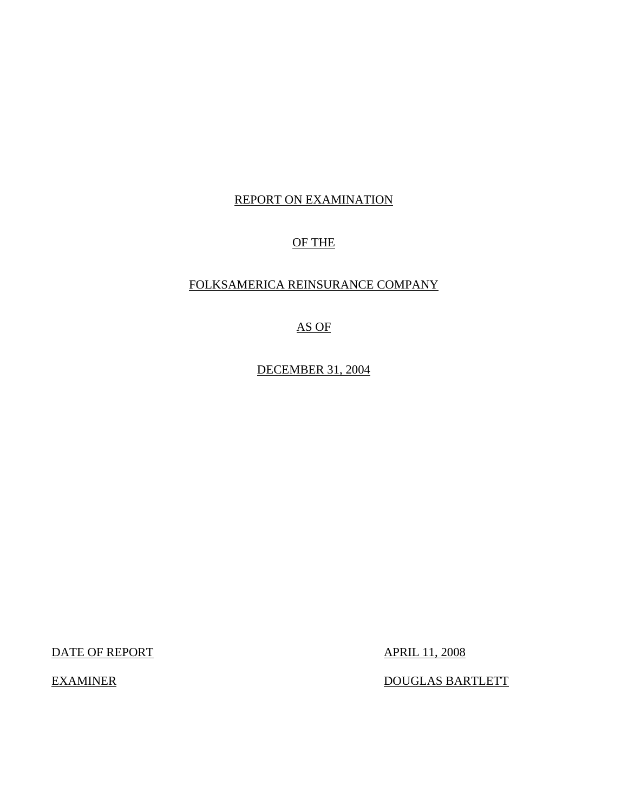## REPORT ON EXAMINATION

## OF THE

## FOLKSAMERICA REINSURANCE COMPANY

## AS OF

DECEMBER 31, 2004

DATE OF REPORT APRIL 11, 2008

EXAMINER DOUGLAS BARTLETT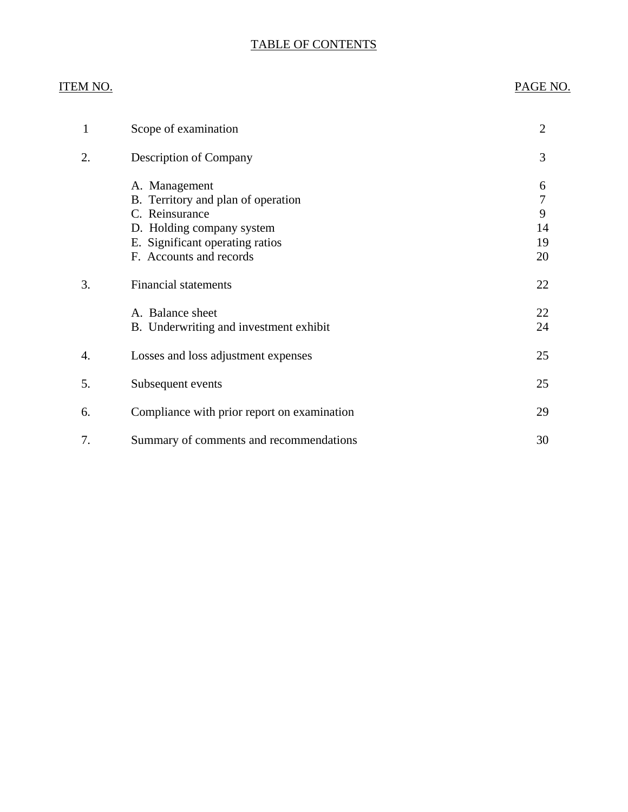## TABLE OF CONTENTS

## **ITEM NO.**

## PAGE NO.

| 1  | Scope of examination                                                                                                                                             | $\overline{2}$           |
|----|------------------------------------------------------------------------------------------------------------------------------------------------------------------|--------------------------|
| 2. | <b>Description of Company</b>                                                                                                                                    | 3                        |
|    | A. Management<br>B. Territory and plan of operation<br>C. Reinsurance<br>D. Holding company system<br>E. Significant operating ratios<br>F. Accounts and records | 6<br>9<br>14<br>19<br>20 |
| 3. | <b>Financial statements</b>                                                                                                                                      | 22                       |
|    | A. Balance sheet<br>B. Underwriting and investment exhibit                                                                                                       | 22<br>24                 |
| 4. | Losses and loss adjustment expenses                                                                                                                              | 25                       |
| 5. | Subsequent events                                                                                                                                                | 25                       |
| 6. | Compliance with prior report on examination                                                                                                                      | 29                       |
| 7. | Summary of comments and recommendations                                                                                                                          | 30                       |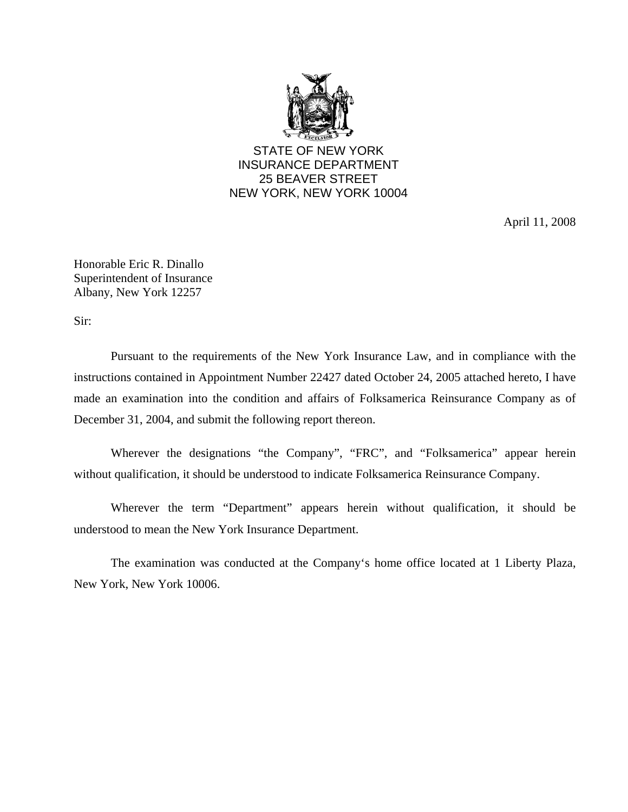

STATE OF NEW YORK INSURANCE DEPARTMENT 25 BEAVER STREET NEW YORK, NEW YORK 10004

April 11, 2008

Honorable Eric R. Dinallo Superintendent of Insurance Albany, New York 12257

Sir:

Pursuant to the requirements of the New York Insurance Law, and in compliance with the instructions contained in Appointment Number 22427 dated October 24, 2005 attached hereto, I have made an examination into the condition and affairs of Folksamerica Reinsurance Company as of December 31, 2004, and submit the following report thereon.

Wherever the designations "the Company", "FRC", and "Folksamerica" appear herein without qualification, it should be understood to indicate Folksamerica Reinsurance Company.

Wherever the term "Department" appears herein without qualification, it should be understood to mean the New York Insurance Department.

The examination was conducted at the Company's home office located at 1 Liberty Plaza, New York, New York 10006.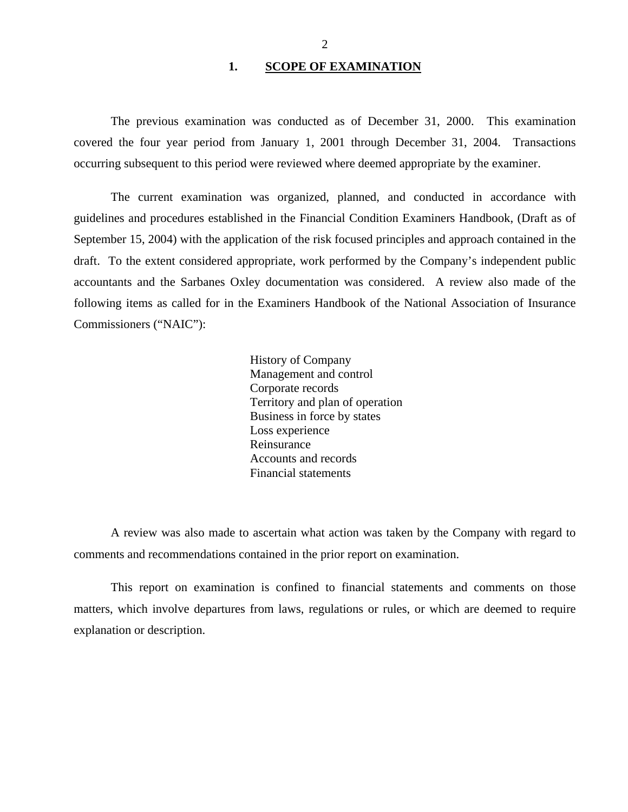#### 1. SCOPE OF EXAMINATION

<span id="page-3-0"></span>The previous examination was conducted as of December 31, 2000. This examination covered the four year period from January 1, 2001 through December 31, 2004. Transactions occurring subsequent to this period were reviewed where deemed appropriate by the examiner.

The current examination was organized, planned, and conducted in accordance with guidelines and procedures established in the Financial Condition Examiners Handbook, (Draft as of September 15, 2004) with the application of the risk focused principles and approach contained in the draft. To the extent considered appropriate, work performed by the Company's independent public accountants and the Sarbanes Oxley documentation was considered. A review also made of the following items as called for in the Examiners Handbook of the National Association of Insurance Commissioners ("NAIC"):

> History of Company Management and control Corporate records Territory and plan of operation Business in force by states Loss experience Reinsurance Accounts and records Financial statements

A review was also made to ascertain what action was taken by the Company with regard to comments and recommendations contained in the prior report on examination.

This report on examination is confined to financial statements and comments on those matters, which involve departures from laws, regulations or rules, or which are deemed to require explanation or description.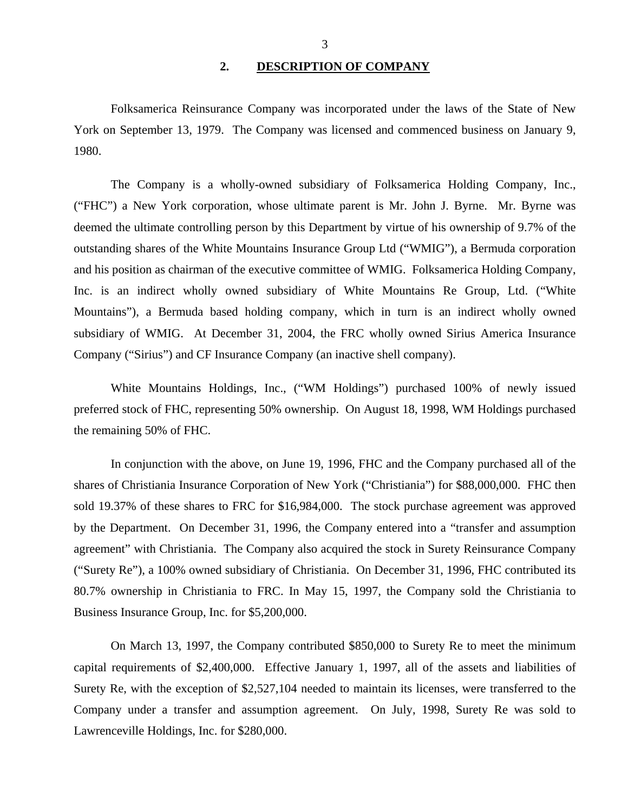#### **2. DESCRIPTION OF COMPANY**

<span id="page-4-0"></span>Folksamerica Reinsurance Company was incorporated under the laws of the State of New York on September 13, 1979. The Company was licensed and commenced business on January 9, 1980.

The Company is a wholly-owned subsidiary of Folksamerica Holding Company, Inc., ("FHC") a New York corporation, whose ultimate parent is Mr. John J. Byrne. Mr. Byrne was deemed the ultimate controlling person by this Department by virtue of his ownership of 9.7% of the outstanding shares of the White Mountains Insurance Group Ltd ("WMIG"), a Bermuda corporation and his position as chairman of the executive committee of WMIG. Folksamerica Holding Company, Inc. is an indirect wholly owned subsidiary of White Mountains Re Group, Ltd. ("White Mountains"), a Bermuda based holding company, which in turn is an indirect wholly owned subsidiary of WMIG. At December 31, 2004, the FRC wholly owned Sirius America Insurance Company ("Sirius") and CF Insurance Company (an inactive shell company).

White Mountains Holdings, Inc., ("WM Holdings") purchased 100% of newly issued preferred stock of FHC, representing 50% ownership. On August 18, 1998, WM Holdings purchased the remaining 50% of FHC.

In conjunction with the above, on June 19, 1996, FHC and the Company purchased all of the shares of Christiania Insurance Corporation of New York ("Christiania") for \$88,000,000. FHC then sold 19.37% of these shares to FRC for \$16,984,000. The stock purchase agreement was approved by the Department. On December 31, 1996, the Company entered into a "transfer and assumption agreement" with Christiania. The Company also acquired the stock in Surety Reinsurance Company ("Surety Re"), a 100% owned subsidiary of Christiania. On December 31, 1996, FHC contributed its 80.7% ownership in Christiania to FRC. In May 15, 1997, the Company sold the Christiania to Business Insurance Group, Inc. for \$5,200,000.

On March 13, 1997, the Company contributed \$850,000 to Surety Re to meet the minimum capital requirements of \$2,400,000. Effective January 1, 1997, all of the assets and liabilities of Surety Re, with the exception of \$2,527,104 needed to maintain its licenses, were transferred to the Company under a transfer and assumption agreement. On July, 1998, Surety Re was sold to Lawrenceville Holdings, Inc. for \$280,000.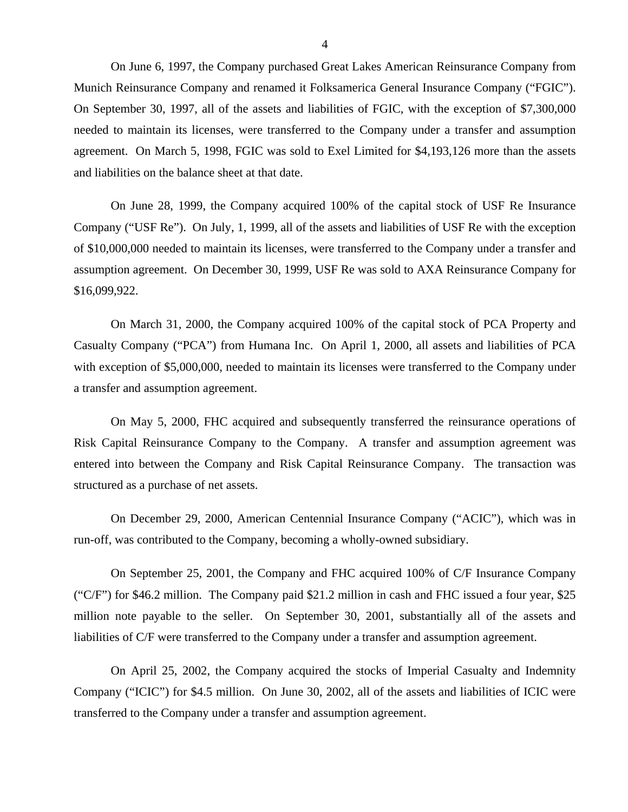On June 6, 1997, the Company purchased Great Lakes American Reinsurance Company from Munich Reinsurance Company and renamed it Folksamerica General Insurance Company ("FGIC"). On September 30, 1997, all of the assets and liabilities of FGIC, with the exception of \$7,300,000 needed to maintain its licenses, were transferred to the Company under a transfer and assumption agreement. On March 5, 1998, FGIC was sold to Exel Limited for \$4,193,126 more than the assets and liabilities on the balance sheet at that date.

On June 28, 1999, the Company acquired 100% of the capital stock of USF Re Insurance Company ("USF Re"). On July, 1, 1999, all of the assets and liabilities of USF Re with the exception of \$10,000,000 needed to maintain its licenses, were transferred to the Company under a transfer and assumption agreement. On December 30, 1999, USF Re was sold to AXA Reinsurance Company for \$16,099,922.

On March 31, 2000, the Company acquired 100% of the capital stock of PCA Property and Casualty Company ("PCA") from Humana Inc. On April 1, 2000, all assets and liabilities of PCA with exception of \$5,000,000, needed to maintain its licenses were transferred to the Company under a transfer and assumption agreement.

On May 5, 2000, FHC acquired and subsequently transferred the reinsurance operations of Risk Capital Reinsurance Company to the Company. A transfer and assumption agreement was entered into between the Company and Risk Capital Reinsurance Company. The transaction was structured as a purchase of net assets.

On December 29, 2000, American Centennial Insurance Company ("ACIC"), which was in run-off, was contributed to the Company, becoming a wholly-owned subsidiary.

On September 25, 2001, the Company and FHC acquired 100% of C/F Insurance Company ("C/F") for \$46.2 million. The Company paid \$21.2 million in cash and FHC issued a four year, \$25 million note payable to the seller. On September 30, 2001, substantially all of the assets and liabilities of C/F were transferred to the Company under a transfer and assumption agreement.

On April 25, 2002, the Company acquired the stocks of Imperial Casualty and Indemnity Company ("ICIC") for \$4.5 million. On June 30, 2002, all of the assets and liabilities of ICIC were transferred to the Company under a transfer and assumption agreement.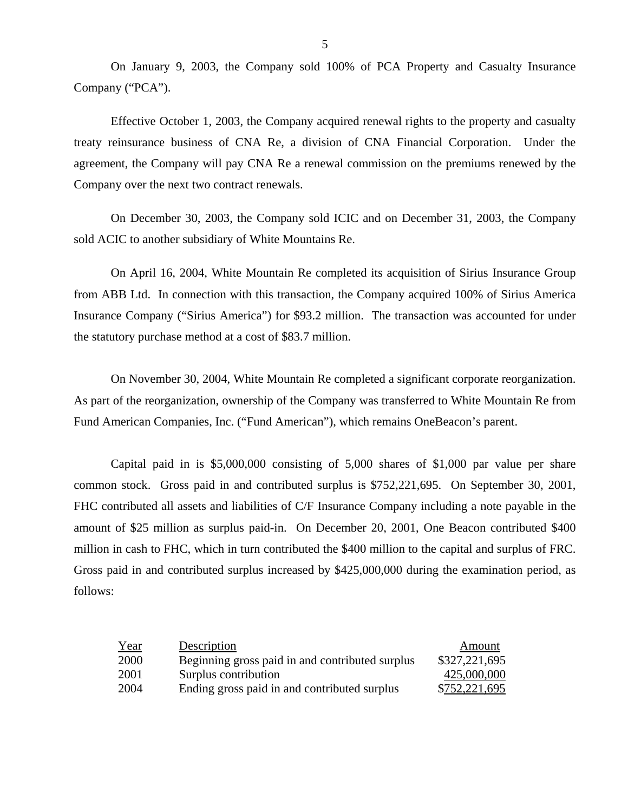On January 9, 2003, the Company sold 100% of PCA Property and Casualty Insurance Company ("PCA").

Effective October 1, 2003, the Company acquired renewal rights to the property and casualty treaty reinsurance business of CNA Re, a division of CNA Financial Corporation. Under the agreement, the Company will pay CNA Re a renewal commission on the premiums renewed by the Company over the next two contract renewals.

On December 30, 2003, the Company sold ICIC and on December 31, 2003, the Company sold ACIC to another subsidiary of White Mountains Re.

On April 16, 2004, White Mountain Re completed its acquisition of Sirius Insurance Group from ABB Ltd. In connection with this transaction, the Company acquired 100% of Sirius America Insurance Company ("Sirius America") for \$93.2 million. The transaction was accounted for under the statutory purchase method at a cost of \$83.7 million.

On November 30, 2004, White Mountain Re completed a significant corporate reorganization. As part of the reorganization, ownership of the Company was transferred to White Mountain Re from Fund American Companies, Inc. ("Fund American"), which remains OneBeacon's parent.

Capital paid in is \$5,000,000 consisting of 5,000 shares of \$1,000 par value per share common stock. Gross paid in and contributed surplus is \$752,221,695. On September 30, 2001, FHC contributed all assets and liabilities of C/F Insurance Company including a note payable in the amount of \$25 million as surplus paid-in. On December 20, 2001, One Beacon contributed \$400 million in cash to FHC, which in turn contributed the \$400 million to the capital and surplus of FRC. Gross paid in and contributed surplus increased by \$425,000,000 during the examination period, as follows:

| <u>Year</u> | Description                                     | Amount        |
|-------------|-------------------------------------------------|---------------|
| 2000        | Beginning gross paid in and contributed surplus | \$327,221,695 |
| 2001        | Surplus contribution                            | 425,000,000   |
| 2004        | Ending gross paid in and contributed surplus    | \$752,221,695 |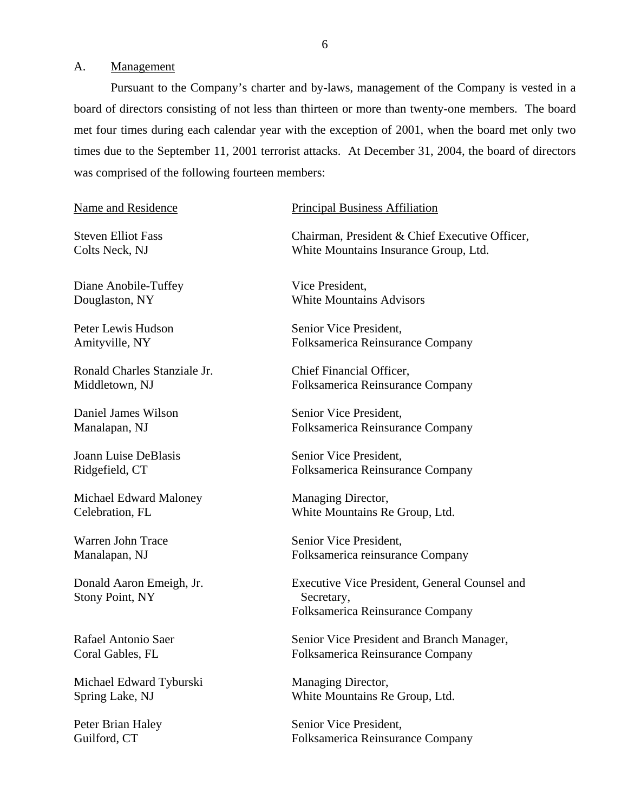#### <span id="page-7-0"></span>A. Management

Pursuant to the Company's charter and by-laws, management of the Company is vested in a board of directors consisting of not less than thirteen or more than twenty-one members. The board met four times during each calendar year with the exception of 2001, when the board met only two times due to the September 11, 2001 terrorist attacks. At December 31, 2004, the board of directors was comprised of the following fourteen members:

#### Name and Residence

**Steven Elliot Fass** Colts Neck, NJ

Diane Anobile-Tuffey Douglaston, NY

Peter Lewis Hudson Amityville, NY

Ronald Charles Stanziale Jr. Middletown, NJ

Daniel James Wilson Manalapan, NJ

Joann Luise DeBlasis Ridgefield, CT

Michael Edward Maloney Celebration, FL

Warren John Trace Manalapan, NJ

Donald Aaron Emeigh, Jr. Stony Point, NY

Rafael Antonio Saer Coral Gables, FL

Michael Edward Tyburski Spring Lake, NJ

Peter Brian Haley Guilford, CT

#### Principal Business Affiliation

Chairman, President & Chief Executive Officer, White Mountains Insurance Group, Ltd.

Vice President, White Mountains Advisors

Senior Vice President, Folksamerica Reinsurance Company

Chief Financial Officer, Folksamerica Reinsurance Company

Senior Vice President, Folksamerica Reinsurance Company

Senior Vice President, Folksamerica Reinsurance Company

Managing Director, White Mountains Re Group, Ltd.

Senior Vice President, Folksamerica reinsurance Company

Executive Vice President, General Counsel and Secretary, Folksamerica Reinsurance Company

Senior Vice President and Branch Manager, Folksamerica Reinsurance Company

Managing Director, White Mountains Re Group, Ltd.

Senior Vice President, Folksamerica Reinsurance Company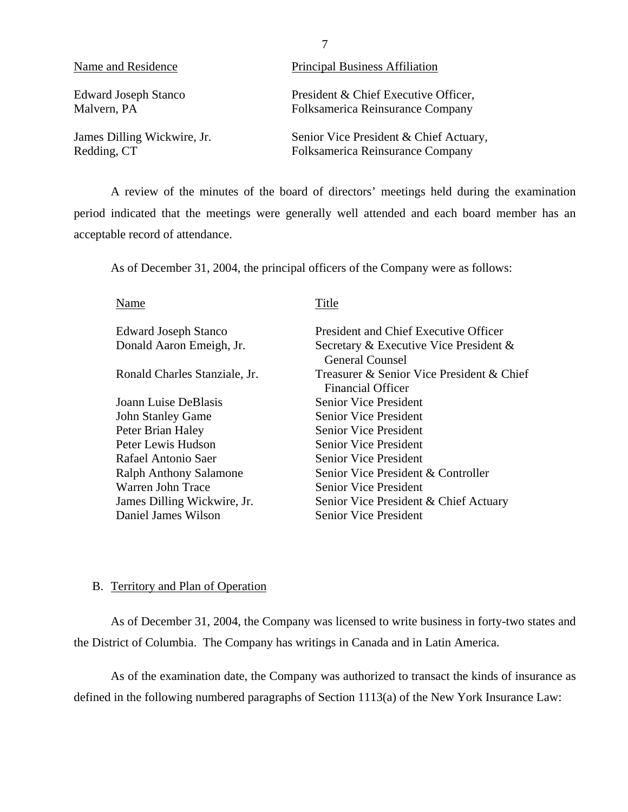<span id="page-8-0"></span>

| Name and Residence          | <b>Principal Business Affiliation</b>   |
|-----------------------------|-----------------------------------------|
| <b>Edward Joseph Stanco</b> | President & Chief Executive Officer,    |
| Malvern, PA                 | Folksamerica Reinsurance Company        |
| James Dilling Wickwire, Jr. | Senior Vice President & Chief Actuary,  |
| Redding, CT                 | <b>Folksamerica Reinsurance Company</b> |

A review of the minutes of the board of directors' meetings held during the examination period indicated that the meetings were generally well attended and each board member has an acceptable record of attendance.

As of December 31, 2004, the principal officers of the Company were as follows:

Name Edward Joseph Stanco Donald Aaron Emeigh, Jr. Ronald Charles Stanziale, Jr. Joann Luise DeBlasis John Stanley Game Peter Brian Haley Peter Lewis Hudson Rafael Antonio Saer Ralph Anthony Salamone Warren John Trace James Dilling Wickwire, Jr. Daniel James Wilson Title President and Chief Executive Officer Secretary & Executive Vice President & General Counsel Treasurer & Senior Vice President & Chief Financial Officer Senior Vice President Senior Vice President Senior Vice President Senior Vice President Senior Vice President Senior Vice President & Controller Senior Vice President Senior Vice President & Chief Actuary Senior Vice President

#### B. Territory and Plan of Operation

As of December 31, 2004, the Company was licensed to write business in forty-two states and the District of Columbia. The Company has writings in Canada and in Latin America.

As of the examination date, the Company was authorized to transact the kinds of insurance as defined in the following numbered paragraphs of Section 1113(a) of the New York Insurance Law:

7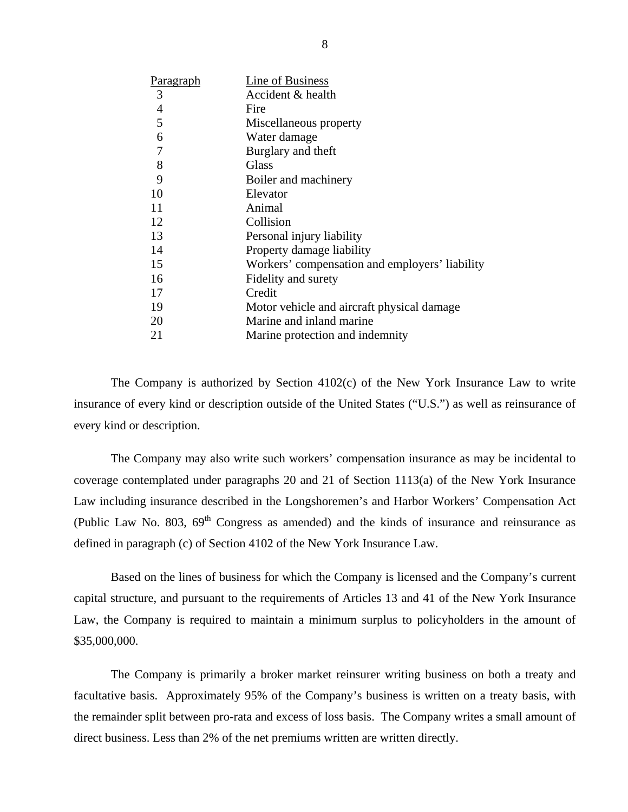| <b>Paragraph</b> | Line of Business                               |
|------------------|------------------------------------------------|
| 3                | Accident & health                              |
| $\overline{4}$   | Fire                                           |
| 5                | Miscellaneous property                         |
| 6                | Water damage                                   |
| $\overline{7}$   | Burglary and theft                             |
| 8                | Glass                                          |
| 9                | Boiler and machinery                           |
| 10               | Elevator                                       |
| 11               | Animal                                         |
| 12               | Collision                                      |
| 13               | Personal injury liability                      |
| 14               | Property damage liability                      |
| 15               | Workers' compensation and employers' liability |
| 16               | Fidelity and surety                            |
| 17               | Credit                                         |
| 19               | Motor vehicle and aircraft physical damage     |
| 20               | Marine and inland marine                       |
| 21               | Marine protection and indemnity                |

The Company is authorized by Section 4102(c) of the New York Insurance Law to write insurance of every kind or description outside of the United States ("U.S.") as well as reinsurance of every kind or description.

The Company may also write such workers' compensation insurance as may be incidental to coverage contemplated under paragraphs 20 and 21 of Section 1113(a) of the New York Insurance Law including insurance described in the Longshoremen's and Harbor Workers' Compensation Act (Public Law No. 803,  $69<sup>th</sup>$  Congress as amended) and the kinds of insurance and reinsurance as defined in paragraph (c) of Section 4102 of the New York Insurance Law.

Based on the lines of business for which the Company is licensed and the Company's current capital structure, and pursuant to the requirements of Articles 13 and 41 of the New York Insurance Law, the Company is required to maintain a minimum surplus to policyholders in the amount of \$35,000,000.

The Company is primarily a broker market reinsurer writing business on both a treaty and facultative basis. Approximately 95% of the Company's business is written on a treaty basis, with the remainder split between pro-rata and excess of loss basis. The Company writes a small amount of direct business. Less than 2% of the net premiums written are written directly.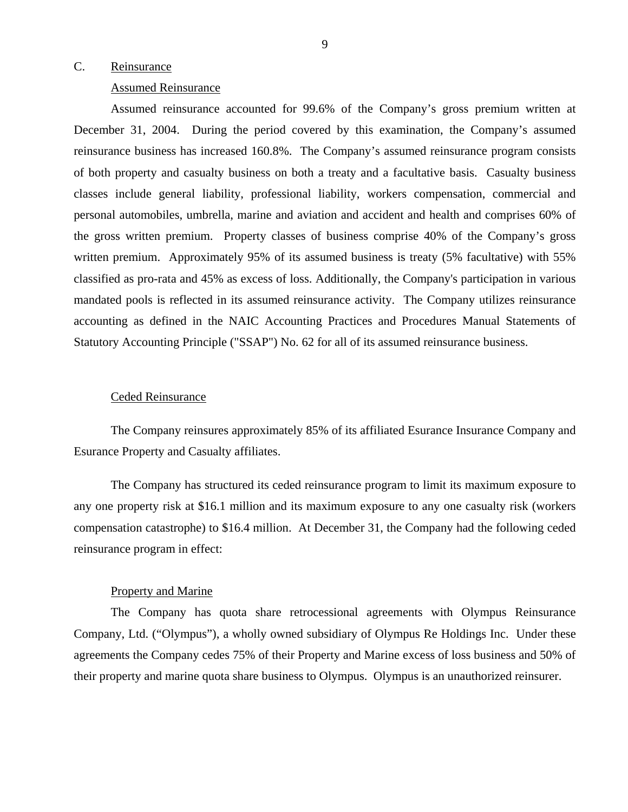#### <span id="page-10-0"></span>C. Reinsurance

#### Assumed Reinsurance

Assumed reinsurance accounted for 99.6% of the Company's gross premium written at December 31, 2004. During the period covered by this examination, the Company's assumed reinsurance business has increased 160.8%. The Company's assumed reinsurance program consists of both property and casualty business on both a treaty and a facultative basis. Casualty business classes include general liability, professional liability, workers compensation, commercial and personal automobiles, umbrella, marine and aviation and accident and health and comprises 60% of the gross written premium. Property classes of business comprise 40% of the Company's gross written premium. Approximately 95% of its assumed business is treaty (5% facultative) with 55% classified as pro-rata and 45% as excess of loss. Additionally, the Company's participation in various mandated pools is reflected in its assumed reinsurance activity. The Company utilizes reinsurance accounting as defined in the NAIC Accounting Practices and Procedures Manual Statements of Statutory Accounting Principle ("SSAP") No. 62 for all of its assumed reinsurance business.

#### Ceded Reinsurance

The Company reinsures approximately 85% of its affiliated Esurance Insurance Company and Esurance Property and Casualty affiliates.

The Company has structured its ceded reinsurance program to limit its maximum exposure to any one property risk at \$16.1 million and its maximum exposure to any one casualty risk (workers compensation catastrophe) to \$16.4 million. At December 31, the Company had the following ceded reinsurance program in effect:

#### Property and Marine

The Company has quota share retrocessional agreements with Olympus Reinsurance Company, Ltd. ("Olympus"), a wholly owned subsidiary of Olympus Re Holdings Inc. Under these agreements the Company cedes 75% of their Property and Marine excess of loss business and 50% of their property and marine quota share business to Olympus. Olympus is an unauthorized reinsurer.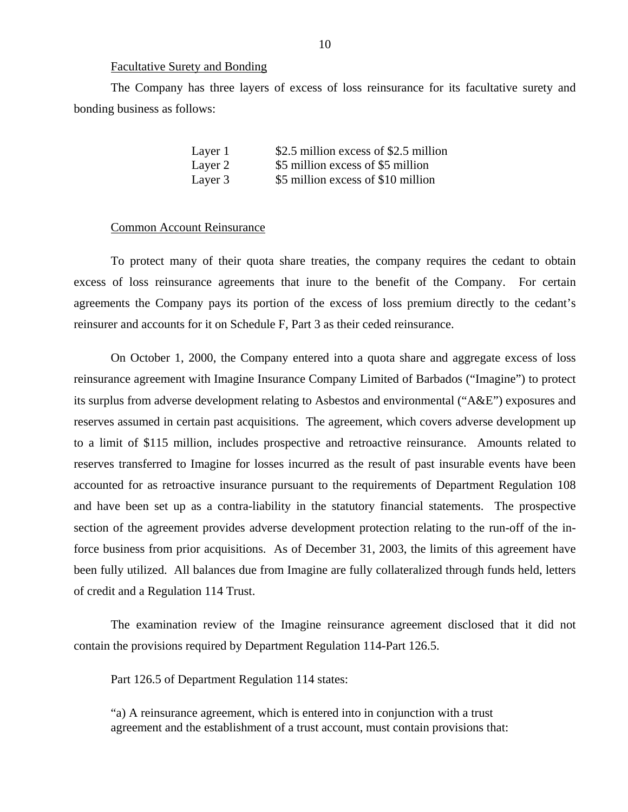#### Facultative Surety and Bonding

The Company has three layers of excess of loss reinsurance for its facultative surety and bonding business as follows:

| Layer 1 | \$2.5 million excess of \$2.5 million |
|---------|---------------------------------------|
| Layer 2 | \$5 million excess of \$5 million     |
| Layer 3 | \$5 million excess of \$10 million    |

#### Common Account Reinsurance

To protect many of their quota share treaties, the company requires the cedant to obtain excess of loss reinsurance agreements that inure to the benefit of the Company. For certain agreements the Company pays its portion of the excess of loss premium directly to the cedant's reinsurer and accounts for it on Schedule F, Part 3 as their ceded reinsurance.

On October 1, 2000, the Company entered into a quota share and aggregate excess of loss reinsurance agreement with Imagine Insurance Company Limited of Barbados ("Imagine") to protect its surplus from adverse development relating to Asbestos and environmental ("A&E") exposures and reserves assumed in certain past acquisitions. The agreement, which covers adverse development up to a limit of \$115 million, includes prospective and retroactive reinsurance. Amounts related to reserves transferred to Imagine for losses incurred as the result of past insurable events have been accounted for as retroactive insurance pursuant to the requirements of Department Regulation 108 and have been set up as a contra-liability in the statutory financial statements. The prospective section of the agreement provides adverse development protection relating to the run-off of the inforce business from prior acquisitions. As of December 31, 2003, the limits of this agreement have been fully utilized. All balances due from Imagine are fully collateralized through funds held, letters of credit and a Regulation 114 Trust.

The examination review of the Imagine reinsurance agreement disclosed that it did not contain the provisions required by Department Regulation 114-Part 126.5.

Part 126.5 of Department Regulation 114 states:

"a) A reinsurance agreement, which is entered into in conjunction with a trust agreement and the establishment of a trust account, must contain provisions that: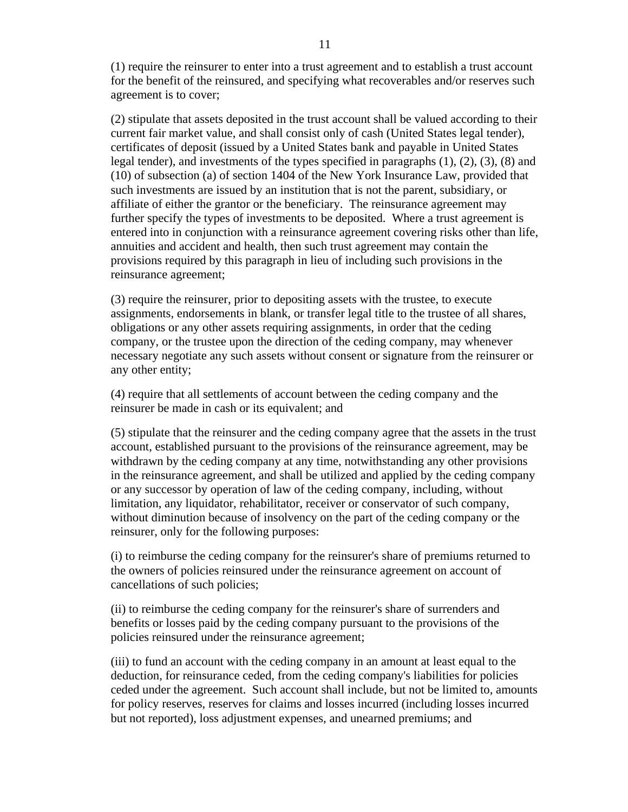(1) require the reinsurer to enter into a trust agreement and to establish a trust account for the benefit of the reinsured, and specifying what recoverables and/or reserves such agreement is to cover;

(2) stipulate that assets deposited in the trust account shall be valued according to their current fair market value, and shall consist only of cash (United States legal tender), certificates of deposit (issued by a United States bank and payable in United States legal tender), and investments of the types specified in paragraphs (1), (2), (3), (8) and (10) of subsection (a) of section 1404 of the New York Insurance Law, provided that such investments are issued by an institution that is not the parent, subsidiary, or affiliate of either the grantor or the beneficiary. The reinsurance agreement may further specify the types of investments to be deposited. Where a trust agreement is entered into in conjunction with a reinsurance agreement covering risks other than life, annuities and accident and health, then such trust agreement may contain the provisions required by this paragraph in lieu of including such provisions in the reinsurance agreement;

(3) require the reinsurer, prior to depositing assets with the trustee, to execute assignments, endorsements in blank, or transfer legal title to the trustee of all shares, obligations or any other assets requiring assignments, in order that the ceding company, or the trustee upon the direction of the ceding company, may whenever necessary negotiate any such assets without consent or signature from the reinsurer or any other entity;

(4) require that all settlements of account between the ceding company and the reinsurer be made in cash or its equivalent; and

(5) stipulate that the reinsurer and the ceding company agree that the assets in the trust account, established pursuant to the provisions of the reinsurance agreement, may be withdrawn by the ceding company at any time, notwithstanding any other provisions in the reinsurance agreement, and shall be utilized and applied by the ceding company or any successor by operation of law of the ceding company, including, without limitation, any liquidator, rehabilitator, receiver or conservator of such company, without diminution because of insolvency on the part of the ceding company or the reinsurer, only for the following purposes:

(i) to reimburse the ceding company for the reinsurer's share of premiums returned to the owners of policies reinsured under the reinsurance agreement on account of cancellations of such policies;

(ii) to reimburse the ceding company for the reinsurer's share of surrenders and benefits or losses paid by the ceding company pursuant to the provisions of the policies reinsured under the reinsurance agreement;

(iii) to fund an account with the ceding company in an amount at least equal to the deduction, for reinsurance ceded, from the ceding company's liabilities for policies ceded under the agreement. Such account shall include, but not be limited to, amounts for policy reserves, reserves for claims and losses incurred (including losses incurred but not reported), loss adjustment expenses, and unearned premiums; and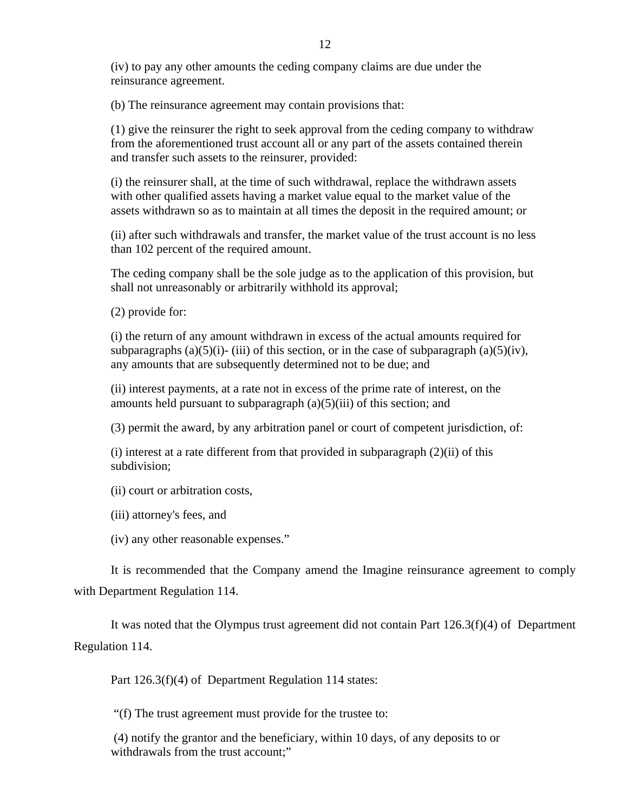(iv) to pay any other amounts the ceding company claims are due under the reinsurance agreement.

(b) The reinsurance agreement may contain provisions that:

(1) give the reinsurer the right to seek approval from the ceding company to withdraw from the aforementioned trust account all or any part of the assets contained therein and transfer such assets to the reinsurer, provided:

(i) the reinsurer shall, at the time of such withdrawal, replace the withdrawn assets with other qualified assets having a market value equal to the market value of the assets withdrawn so as to maintain at all times the deposit in the required amount; or

(ii) after such withdrawals and transfer, the market value of the trust account is no less than 102 percent of the required amount.

The ceding company shall be the sole judge as to the application of this provision, but shall not unreasonably or arbitrarily withhold its approval;

(2) provide for:

(i) the return of any amount withdrawn in excess of the actual amounts required for subparagraphs (a)(5)(i)- (iii) of this section, or in the case of subparagraph (a)(5)(iv), any amounts that are subsequently determined not to be due; and

(ii) interest payments, at a rate not in excess of the prime rate of interest, on the amounts held pursuant to subparagraph (a)(5)(iii) of this section; and

(3) permit the award, by any arbitration panel or court of competent jurisdiction, of:

 $(i)$  interest at a rate different from that provided in subparagraph  $(2)(ii)$  of this subdivision;

(ii) court or arbitration costs,

(iii) attorney's fees, and

(iv) any other reasonable expenses."

It is recommended that the Company amend the Imagine reinsurance agreement to comply with Department Regulation 114.

It was noted that the Olympus trust agreement did not contain Part 126.3(f)(4) of Department Regulation 114.

Part 126.3(f)(4) of Department Regulation 114 states:

"(f) The trust agreement must provide for the trustee to:

(4) notify the grantor and the beneficiary, within 10 days, of any deposits to or withdrawals from the trust account:"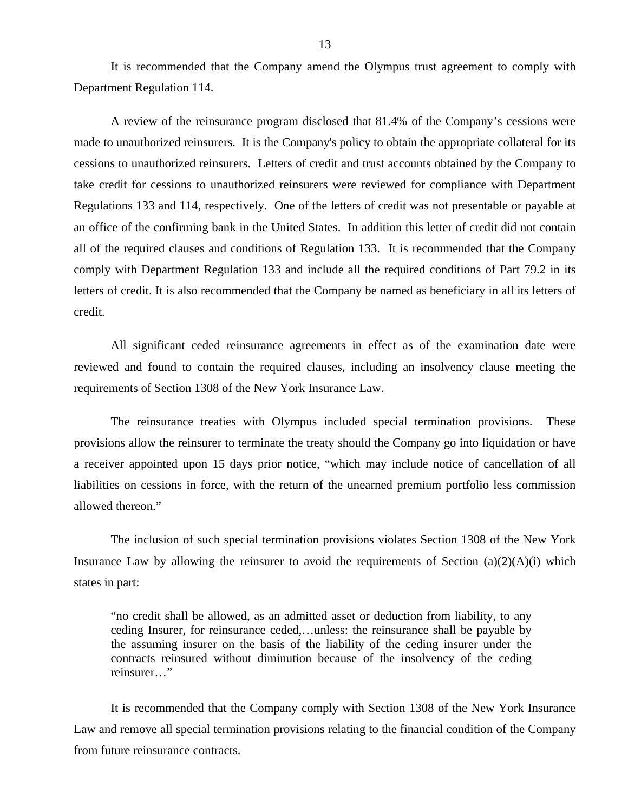It is recommended that the Company amend the Olympus trust agreement to comply with Department Regulation 114.

A review of the reinsurance program disclosed that 81.4% of the Company's cessions were made to unauthorized reinsurers. It is the Company's policy to obtain the appropriate collateral for its cessions to unauthorized reinsurers. Letters of credit and trust accounts obtained by the Company to take credit for cessions to unauthorized reinsurers were reviewed for compliance with Department Regulations 133 and 114, respectively. One of the letters of credit was not presentable or payable at an office of the confirming bank in the United States. In addition this letter of credit did not contain all of the required clauses and conditions of Regulation 133. It is recommended that the Company comply with Department Regulation 133 and include all the required conditions of Part 79.2 in its letters of credit. It is also recommended that the Company be named as beneficiary in all its letters of credit.

All significant ceded reinsurance agreements in effect as of the examination date were reviewed and found to contain the required clauses, including an insolvency clause meeting the requirements of Section 1308 of the New York Insurance Law.

The reinsurance treaties with Olympus included special termination provisions. These provisions allow the reinsurer to terminate the treaty should the Company go into liquidation or have a receiver appointed upon 15 days prior notice, "which may include notice of cancellation of all liabilities on cessions in force, with the return of the unearned premium portfolio less commission allowed thereon."

The inclusion of such special termination provisions violates Section 1308 of the New York Insurance Law by allowing the reinsurer to avoid the requirements of Section  $(a)(2)(A)(i)$  which states in part:

"no credit shall be allowed, as an admitted asset or deduction from liability, to any ceding Insurer, for reinsurance ceded,…unless: the reinsurance shall be payable by the assuming insurer on the basis of the liability of the ceding insurer under the contracts reinsured without diminution because of the insolvency of the ceding reinsurer…"

It is recommended that the Company comply with Section 1308 of the New York Insurance Law and remove all special termination provisions relating to the financial condition of the Company from future reinsurance contracts.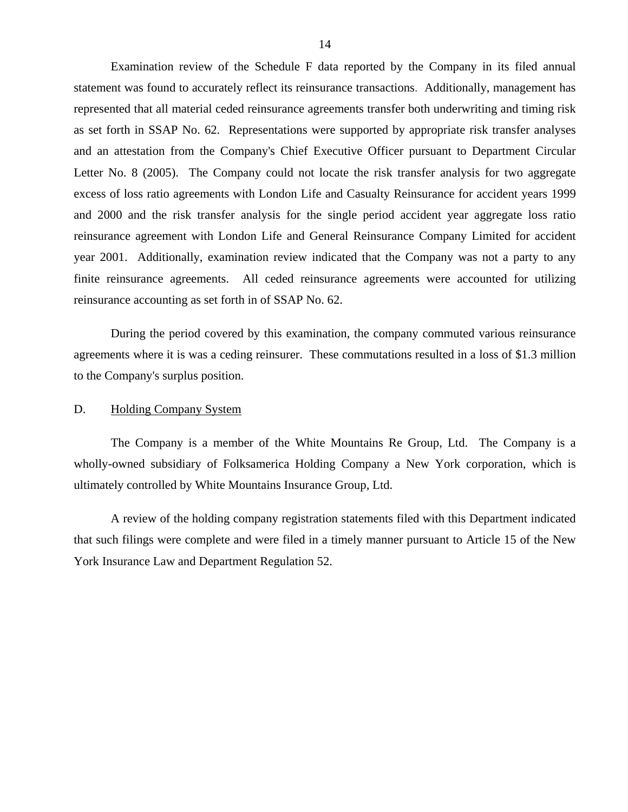<span id="page-15-0"></span>Examination review of the Schedule F data reported by the Company in its filed annual statement was found to accurately reflect its reinsurance transactions. Additionally, management has represented that all material ceded reinsurance agreements transfer both underwriting and timing risk as set forth in SSAP No. 62. Representations were supported by appropriate risk transfer analyses and an attestation from the Company's Chief Executive Officer pursuant to Department Circular Letter No. 8 (2005). The Company could not locate the risk transfer analysis for two aggregate excess of loss ratio agreements with London Life and Casualty Reinsurance for accident years 1999 and 2000 and the risk transfer analysis for the single period accident year aggregate loss ratio reinsurance agreement with London Life and General Reinsurance Company Limited for accident year 2001. Additionally, examination review indicated that the Company was not a party to any finite reinsurance agreements. All ceded reinsurance agreements were accounted for utilizing reinsurance accounting as set forth in of SSAP No. 62.

During the period covered by this examination, the company commuted various reinsurance agreements where it is was a ceding reinsurer. These commutations resulted in a loss of \$1.3 million to the Company's surplus position.

#### D. Holding Company System

The Company is a member of the White Mountains Re Group, Ltd. The Company is a wholly-owned subsidiary of Folksamerica Holding Company a New York corporation, which is ultimately controlled by White Mountains Insurance Group, Ltd.

A review of the holding company registration statements filed with this Department indicated that such filings were complete and were filed in a timely manner pursuant to Article 15 of the New York Insurance Law and Department Regulation 52.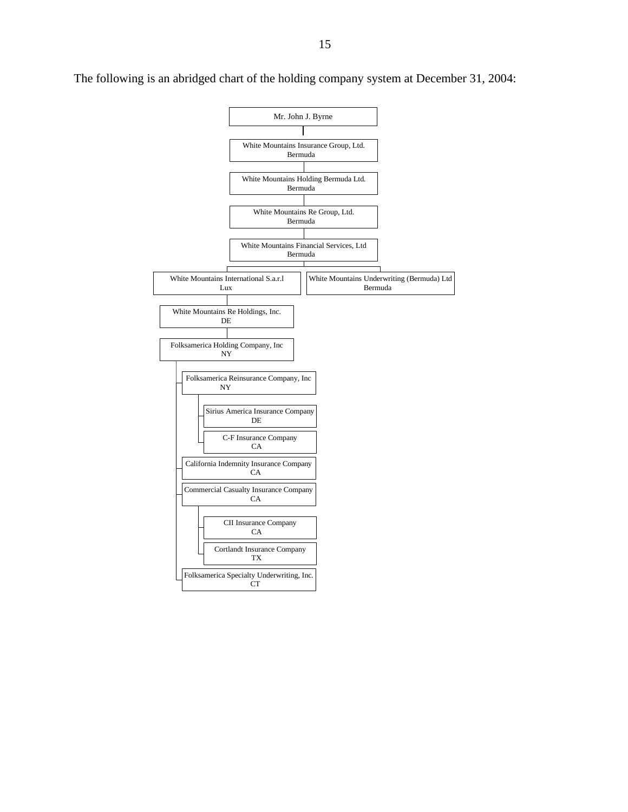

The following is an abridged chart of the holding company system at December 31, 2004: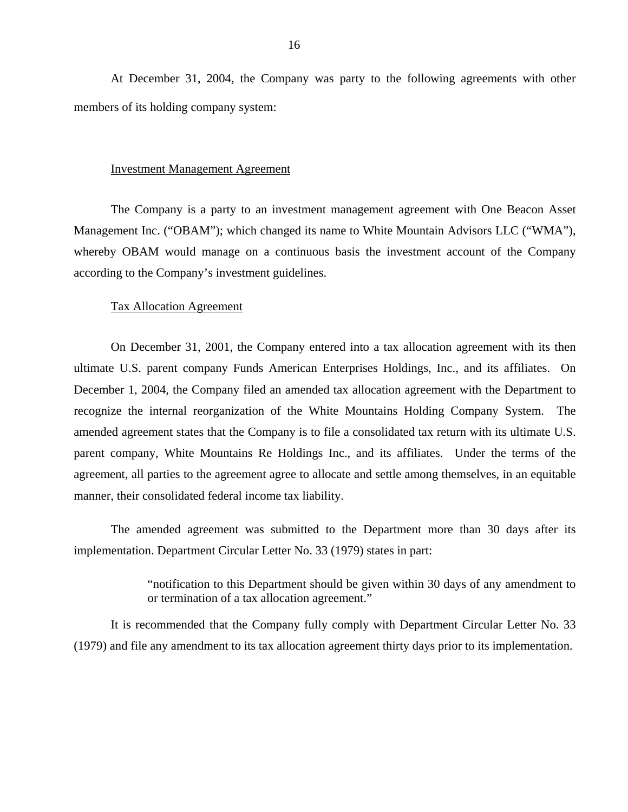At December 31, 2004, the Company was party to the following agreements with other members of its holding company system:

#### Investment Management Agreement

The Company is a party to an investment management agreement with One Beacon Asset Management Inc. ("OBAM"); which changed its name to White Mountain Advisors LLC ("WMA"), whereby OBAM would manage on a continuous basis the investment account of the Company according to the Company's investment guidelines.

#### **Tax Allocation Agreement**

On December 31, 2001, the Company entered into a tax allocation agreement with its then ultimate U.S. parent company Funds American Enterprises Holdings, Inc., and its affiliates. On December 1, 2004, the Company filed an amended tax allocation agreement with the Department to recognize the internal reorganization of the White Mountains Holding Company System. The amended agreement states that the Company is to file a consolidated tax return with its ultimate U.S. parent company, White Mountains Re Holdings Inc., and its affiliates. Under the terms of the agreement, all parties to the agreement agree to allocate and settle among themselves, in an equitable manner, their consolidated federal income tax liability.

The amended agreement was submitted to the Department more than 30 days after its implementation. Department Circular Letter No. 33 (1979) states in part:

> "notification to this Department should be given within 30 days of any amendment to or termination of a tax allocation agreement."

It is recommended that the Company fully comply with Department Circular Letter No. 33 (1979) and file any amendment to its tax allocation agreement thirty days prior to its implementation.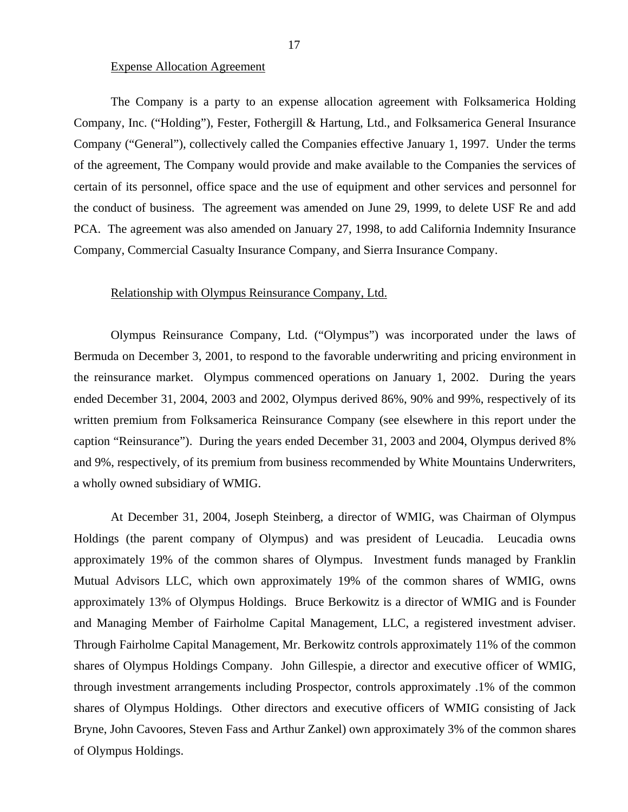#### Expense Allocation Agreement

The Company is a party to an expense allocation agreement with Folksamerica Holding Company, Inc. ("Holding"), Fester, Fothergill & Hartung, Ltd., and Folksamerica General Insurance Company ("General"), collectively called the Companies effective January 1, 1997. Under the terms of the agreement, The Company would provide and make available to the Companies the services of certain of its personnel, office space and the use of equipment and other services and personnel for the conduct of business. The agreement was amended on June 29, 1999, to delete USF Re and add PCA. The agreement was also amended on January 27, 1998, to add California Indemnity Insurance Company, Commercial Casualty Insurance Company, and Sierra Insurance Company.

#### Relationship with Olympus Reinsurance Company, Ltd.

Olympus Reinsurance Company, Ltd. ("Olympus") was incorporated under the laws of Bermuda on December 3, 2001, to respond to the favorable underwriting and pricing environment in the reinsurance market. Olympus commenced operations on January 1, 2002. During the years ended December 31, 2004, 2003 and 2002, Olympus derived 86%, 90% and 99%, respectively of its written premium from Folksamerica Reinsurance Company (see elsewhere in this report under the caption "Reinsurance"). During the years ended December 31, 2003 and 2004, Olympus derived 8% and 9%, respectively, of its premium from business recommended by White Mountains Underwriters, a wholly owned subsidiary of WMIG.

At December 31, 2004, Joseph Steinberg, a director of WMIG, was Chairman of Olympus Holdings (the parent company of Olympus) and was president of Leucadia. Leucadia owns approximately 19% of the common shares of Olympus. Investment funds managed by Franklin Mutual Advisors LLC, which own approximately 19% of the common shares of WMIG, owns approximately 13% of Olympus Holdings. Bruce Berkowitz is a director of WMIG and is Founder and Managing Member of Fairholme Capital Management, LLC, a registered investment adviser. Through Fairholme Capital Management, Mr. Berkowitz controls approximately 11% of the common shares of Olympus Holdings Company. John Gillespie, a director and executive officer of WMIG, through investment arrangements including Prospector, controls approximately .1% of the common shares of Olympus Holdings. Other directors and executive officers of WMIG consisting of Jack Bryne, John Cavoores, Steven Fass and Arthur Zankel) own approximately 3% of the common shares of Olympus Holdings.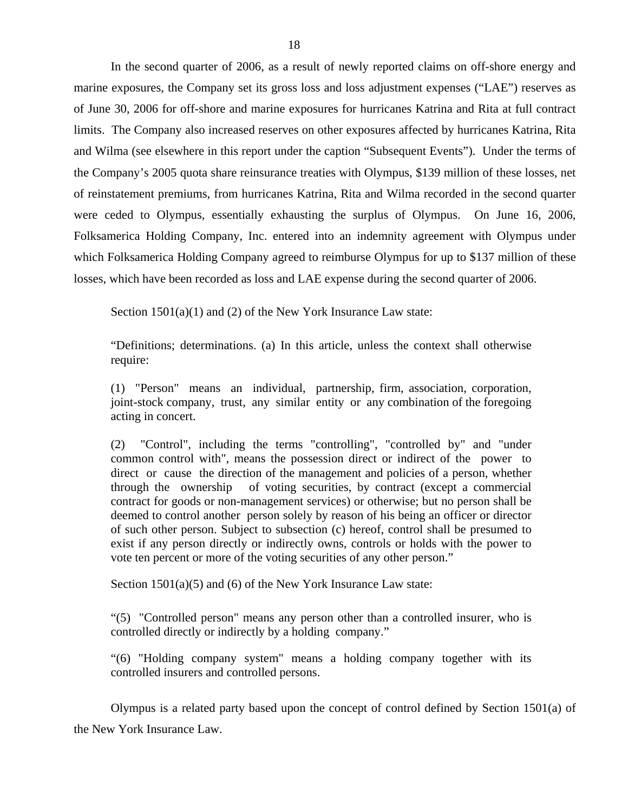In the second quarter of 2006, as a result of newly reported claims on off-shore energy and marine exposures, the Company set its gross loss and loss adjustment expenses ("LAE") reserves as of June 30, 2006 for off-shore and marine exposures for hurricanes Katrina and Rita at full contract limits. The Company also increased reserves on other exposures affected by hurricanes Katrina, Rita and Wilma (see elsewhere in this report under the caption "Subsequent Events"). Under the terms of the Company's 2005 quota share reinsurance treaties with Olympus, \$139 million of these losses, net of reinstatement premiums, from hurricanes Katrina, Rita and Wilma recorded in the second quarter were ceded to Olympus, essentially exhausting the surplus of Olympus. On June 16, 2006, Folksamerica Holding Company, Inc. entered into an indemnity agreement with Olympus under which Folksamerica Holding Company agreed to reimburse Olympus for up to \$137 million of these losses, which have been recorded as loss and LAE expense during the second quarter of 2006.

Section  $1501(a)(1)$  and (2) of the New York Insurance Law state:

"Definitions; determinations. (a) In this article, unless the context shall otherwise require:

(1) "Person" means an individual, partnership, firm, association, corporation, joint-stock company, trust, any similar entity or any combination of the foregoing acting in concert.

(2) "Control", including the terms "controlling", "controlled by" and "under common control with", means the possession direct or indirect of the power to direct or cause the direction of the management and policies of a person, whether through the ownership of voting securities, by contract (except a commercial contract for goods or non-management services) or otherwise; but no person shall be deemed to control another person solely by reason of his being an officer or director of such other person. Subject to subsection (c) hereof, control shall be presumed to exist if any person directly or indirectly owns, controls or holds with the power to vote ten percent or more of the voting securities of any other person."

Section  $1501(a)(5)$  and (6) of the New York Insurance Law state:

"(5) "Controlled person" means any person other than a controlled insurer, who is controlled directly or indirectly by a holding company."

"(6) "Holding company system" means a holding company together with its controlled insurers and controlled persons.

Olympus is a related party based upon the concept of control defined by Section 1501(a) of the New York Insurance Law.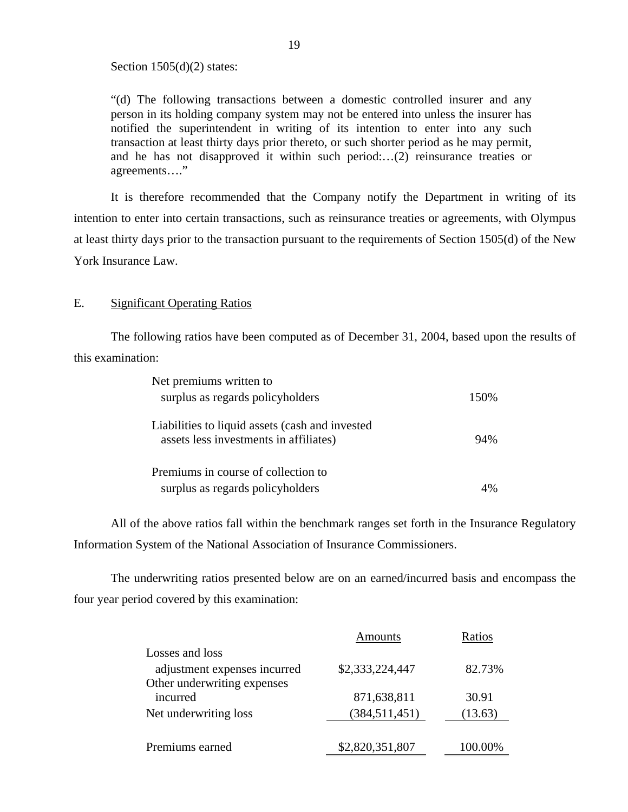Section  $1505(d)(2)$  states:

"(d) The following transactions between a domestic controlled insurer and any person in its holding company system may not be entered into unless the insurer has notified the superintendent in writing of its intention to enter into any such transaction at least thirty days prior thereto, or such shorter period as he may permit, and he has not disapproved it within such period:…(2) reinsurance treaties or agreements…."

It is therefore recommended that the Company notify the Department in writing of its intention to enter into certain transactions, such as reinsurance treaties or agreements, with Olympus at least thirty days prior to the transaction pursuant to the requirements of Section 1505(d) of the New York Insurance Law.

#### E. Significant Operating Ratios

The following ratios have been computed as of December 31, 2004, based upon the results of this examination:

| Net premiums written to                         |       |
|-------------------------------------------------|-------|
| surplus as regards policyholders                | 150\% |
|                                                 |       |
| Liabilities to liquid assets (cash and invested |       |
| assets less investments in affiliates)          | 94%   |
|                                                 |       |
| Premiums in course of collection to             |       |
| surplus as regards policyholders                |       |

All of the above ratios fall within the benchmark ranges set forth in the Insurance Regulatory Information System of the National Association of Insurance Commissioners.

The underwriting ratios presented below are on an earned/incurred basis and encompass the four year period covered by this examination:

|                              | Amounts         | Ratios     |
|------------------------------|-----------------|------------|
| Losses and loss              |                 |            |
| adjustment expenses incurred | \$2,333,224,447 | 82.73%     |
| Other underwriting expenses  |                 |            |
| incurred                     | 871,638,811     | 30.91      |
| Net underwriting loss        | (384, 511, 451) | (13.63)    |
|                              |                 |            |
| Premiums earned              | \$2,820,351,807 | ')(),()()% |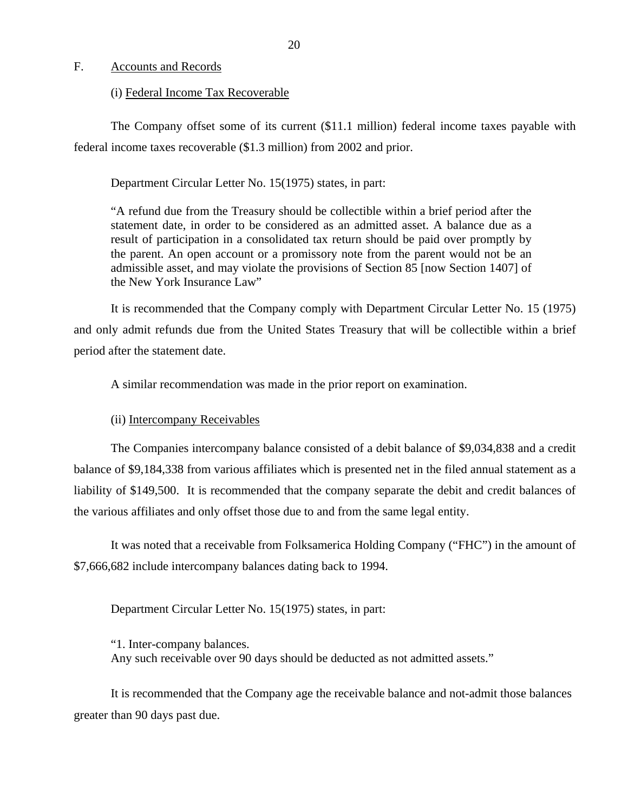#### <span id="page-21-0"></span>F. Accounts and Records

#### (i) Federal Income Tax Recoverable

The Company offset some of its current (\$11.1 million) federal income taxes payable with federal income taxes recoverable (\$1.3 million) from 2002 and prior.

Department Circular Letter No. 15(1975) states, in part:

"A refund due from the Treasury should be collectible within a brief period after the statement date, in order to be considered as an admitted asset. A balance due as a result of participation in a consolidated tax return should be paid over promptly by the parent. An open account or a promissory note from the parent would not be an admissible asset, and may violate the provisions of Section 85 [now Section 1407] of the New York Insurance Law"

It is recommended that the Company comply with Department Circular Letter No. 15 (1975) and only admit refunds due from the United States Treasury that will be collectible within a brief period after the statement date.

A similar recommendation was made in the prior report on examination.

#### (ii) Intercompany Receivables

The Companies intercompany balance consisted of a debit balance of \$9,034,838 and a credit balance of \$9,184,338 from various affiliates which is presented net in the filed annual statement as a liability of \$149,500. It is recommended that the company separate the debit and credit balances of the various affiliates and only offset those due to and from the same legal entity.

It was noted that a receivable from Folksamerica Holding Company ("FHC") in the amount of \$7,666,682 include intercompany balances dating back to 1994.

Department Circular Letter No. 15(1975) states, in part:

"1. Inter-company balances. Any such receivable over 90 days should be deducted as not admitted assets."

It is recommended that the Company age the receivable balance and not-admit those balances greater than 90 days past due.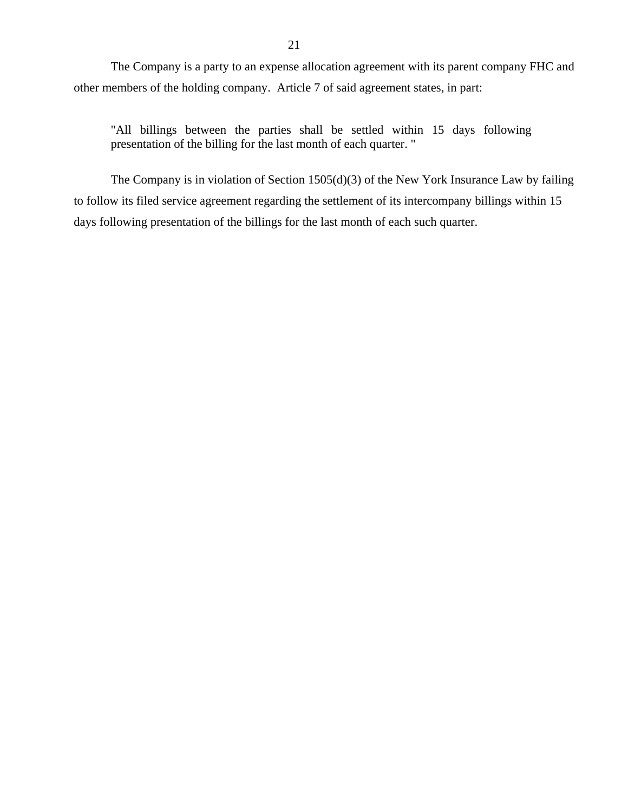The Company is a party to an expense allocation agreement with its parent company FHC and other members of the holding company. Article 7 of said agreement states, in part:

"All billings between the parties shall be settled within 15 days following presentation of the billing for the last month of each quarter. "

The Company is in violation of Section 1505(d)(3) of the New York Insurance Law by failing to follow its filed service agreement regarding the settlement of its intercompany billings within 15 days following presentation of the billings for the last month of each such quarter.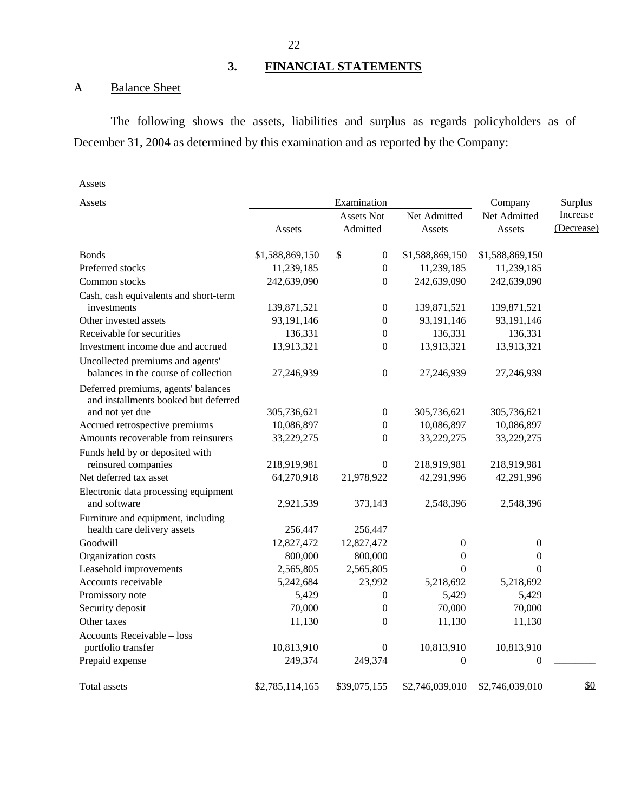## **3. FINANCIAL STATEMENTS**

## <span id="page-23-0"></span>A Balance Sheet

The following shows the assets, liabilities and surplus as regards policyholders as of December 31, 2004 as determined by this examination and as reported by the Company:

### Assets

| Assets                                                                      |                 |                        |                  |                  |            |
|-----------------------------------------------------------------------------|-----------------|------------------------|------------------|------------------|------------|
| Assets                                                                      |                 | Examination            |                  | Company          | Surplus    |
|                                                                             |                 | Assets Not             | Net Admitted     | Net Admitted     | Increase   |
|                                                                             | Assets          | Admitted               | Assets           | Assets           | (Decrease) |
| <b>Bonds</b>                                                                | \$1,588,869,150 | \$<br>$\boldsymbol{0}$ | \$1,588,869,150  | \$1,588,869,150  |            |
| Preferred stocks                                                            | 11,239,185      | $\boldsymbol{0}$       | 11,239,185       | 11,239,185       |            |
| Common stocks                                                               | 242,639,090     | $\mathbf{0}$           | 242,639,090      | 242,639,090      |            |
| Cash, cash equivalents and short-term                                       |                 |                        |                  |                  |            |
| investments                                                                 | 139,871,521     | $\boldsymbol{0}$       | 139,871,521      | 139,871,521      |            |
| Other invested assets                                                       | 93,191,146      | $\boldsymbol{0}$       | 93,191,146       | 93,191,146       |            |
| Receivable for securities                                                   | 136,331         | $\boldsymbol{0}$       | 136,331          | 136,331          |            |
| Investment income due and accrued                                           | 13,913,321      | $\boldsymbol{0}$       | 13,913,321       | 13,913,321       |            |
| Uncollected premiums and agents'                                            |                 |                        |                  |                  |            |
| balances in the course of collection                                        | 27,246,939      | $\boldsymbol{0}$       | 27,246,939       | 27,246,939       |            |
| Deferred premiums, agents' balances<br>and installments booked but deferred |                 |                        |                  |                  |            |
| and not yet due                                                             | 305,736,621     | $\boldsymbol{0}$       | 305,736,621      | 305,736,621      |            |
| Accrued retrospective premiums                                              | 10,086,897      | $\boldsymbol{0}$       | 10,086,897       | 10,086,897       |            |
| Amounts recoverable from reinsurers                                         | 33,229,275      | 0                      | 33,229,275       | 33,229,275       |            |
| Funds held by or deposited with                                             |                 |                        |                  |                  |            |
| reinsured companies                                                         | 218,919,981     | $\overline{0}$         | 218,919,981      | 218,919,981      |            |
| Net deferred tax asset                                                      | 64,270,918      | 21,978,922             | 42,291,996       | 42,291,996       |            |
| Electronic data processing equipment                                        |                 |                        |                  |                  |            |
| and software                                                                | 2,921,539       | 373,143                | 2,548,396        | 2,548,396        |            |
| Furniture and equipment, including                                          |                 |                        |                  |                  |            |
| health care delivery assets                                                 | 256,447         | 256,447                |                  |                  |            |
| Goodwill                                                                    | 12,827,472      | 12,827,472             | $\boldsymbol{0}$ | $\boldsymbol{0}$ |            |
| Organization costs                                                          | 800,000         | 800,000                | $\boldsymbol{0}$ | $\mathbf{0}$     |            |
| Leasehold improvements                                                      | 2,565,805       | 2,565,805              | $\Omega$         | $\Omega$         |            |
| Accounts receivable                                                         | 5,242,684       | 23,992                 | 5,218,692        | 5,218,692        |            |
| Promissory note                                                             | 5,429           | $\mathbf{0}$           | 5,429            | 5,429            |            |
| Security deposit                                                            | 70,000          | $\boldsymbol{0}$       | 70,000           | 70,000           |            |
| Other taxes                                                                 | 11,130          | $\theta$               | 11,130           | 11,130           |            |
| Accounts Receivable - loss                                                  |                 |                        |                  |                  |            |
| portfolio transfer                                                          | 10,813,910      | $\boldsymbol{0}$       | 10,813,910       | 10,813,910       |            |
| Prepaid expense                                                             | 249,374         | 249,374                | $\boldsymbol{0}$ | $\boldsymbol{0}$ |            |
| Total assets                                                                | \$2,785,114,165 | \$39,075,155           | \$2,746,039,010  | \$2,746,039,010  | \$0        |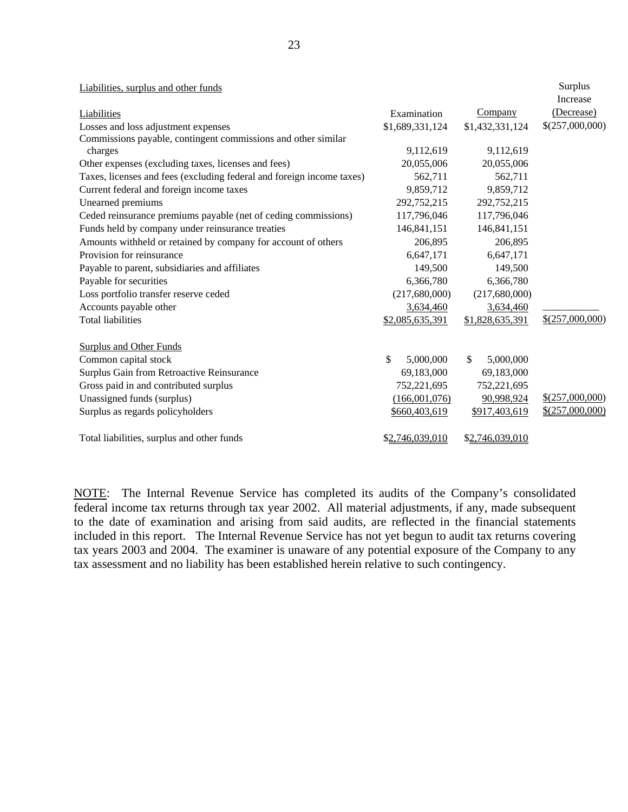| Liabilities, surplus and other funds                                  |                 |                  | Surplus           |
|-----------------------------------------------------------------------|-----------------|------------------|-------------------|
|                                                                       |                 |                  | Increase          |
| Liabilities                                                           | Examination     | <b>Company</b>   | (Decrease)        |
| Losses and loss adjustment expenses                                   | \$1,689,331,124 | \$1,432,331,124  | \$(257,000,000)   |
| Commissions payable, contingent commissions and other similar         |                 |                  |                   |
| charges                                                               | 9,112,619       | 9,112,619        |                   |
| Other expenses (excluding taxes, licenses and fees)                   | 20,055,006      | 20,055,006       |                   |
| Taxes, licenses and fees (excluding federal and foreign income taxes) | 562,711         | 562,711          |                   |
| Current federal and foreign income taxes                              | 9,859,712       | 9,859,712        |                   |
| Unearned premiums                                                     | 292,752,215     | 292,752,215      |                   |
| Ceded reinsurance premiums payable (net of ceding commissions)        | 117,796,046     | 117,796,046      |                   |
| Funds held by company under reinsurance treaties                      | 146,841,151     | 146,841,151      |                   |
| Amounts withheld or retained by company for account of others         | 206,895         | 206,895          |                   |
| Provision for reinsurance                                             | 6,647,171       | 6,647,171        |                   |
| Payable to parent, subsidiaries and affiliates                        | 149,500         | 149,500          |                   |
| Payable for securities                                                | 6,366,780       | 6,366,780        |                   |
| Loss portfolio transfer reserve ceded                                 | (217,680,000)   | (217,680,000)    |                   |
| Accounts payable other                                                | 3,634,460       | 3,634,460        |                   |
| <b>Total liabilities</b>                                              | \$2,085,635,391 | \$1,828,635,391  | $$$ (257,000,000) |
| <b>Surplus and Other Funds</b>                                        |                 |                  |                   |
| Common capital stock                                                  | \$<br>5,000,000 | 5,000,000<br>\$. |                   |
| Surplus Gain from Retroactive Reinsurance                             | 69,183,000      | 69,183,000       |                   |
| Gross paid in and contributed surplus                                 | 752,221,695     | 752,221,695      |                   |
| Unassigned funds (surplus)                                            | (166,001,076)   | 90,998,924       | $$$ (257,000,000) |
| Surplus as regards policyholders                                      | \$660,403,619   | \$917,403,619    | $$$ (257,000,000) |

Total liabilities, surplus and other funds  $$2,746,039,010$   $$2,746,039,010$ 

NOTE: The Internal Revenue Service has completed its audits of the Company's consolidated federal income tax returns through tax year 2002. All material adjustments, if any, made subsequent to the date of examination and arising from said audits, are reflected in the financial statements included in this report. The Internal Revenue Service has not yet begun to audit tax returns covering tax years 2003 and 2004. The examiner is unaware of any potential exposure of the Company to any tax assessment and no liability has been established herein relative to such contingency.

\$2,746,039,010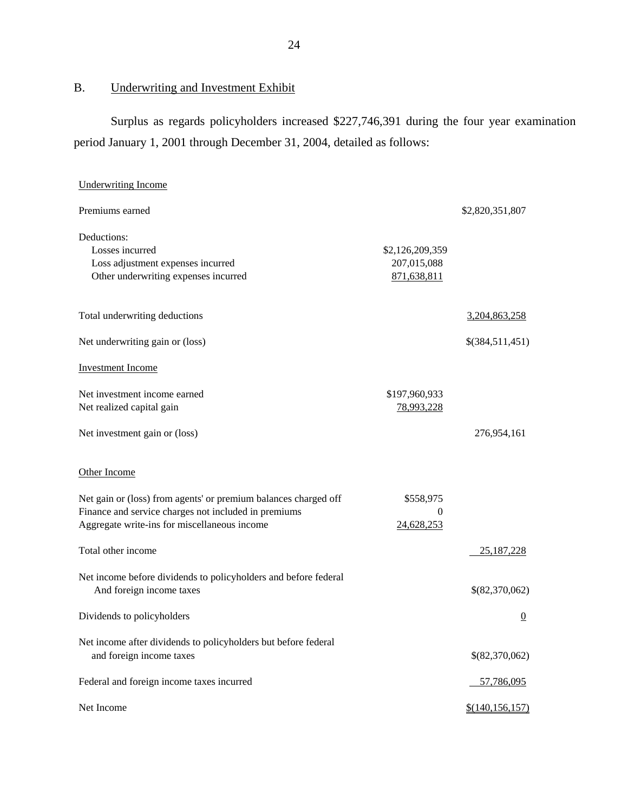## B. Underwriting and Investment Exhibit

Surplus as regards policyholders increased \$227,746,391 during the four year examination period January 1, 2001 through December 31, 2004, detailed as follows:

| <b>Underwriting Income</b>                                                                 |                            |                   |
|--------------------------------------------------------------------------------------------|----------------------------|-------------------|
| Premiums earned                                                                            |                            | \$2,820,351,807   |
| Deductions:                                                                                |                            |                   |
| Losses incurred                                                                            | \$2,126,209,359            |                   |
| Loss adjustment expenses incurred<br>Other underwriting expenses incurred                  | 207,015,088<br>871,638,811 |                   |
|                                                                                            |                            |                   |
| Total underwriting deductions                                                              |                            | 3,204,863,258     |
| Net underwriting gain or (loss)                                                            |                            | \$(384,511,451)   |
| <b>Investment Income</b>                                                                   |                            |                   |
| Net investment income earned                                                               | \$197,960,933              |                   |
| Net realized capital gain                                                                  | 78,993,228                 |                   |
|                                                                                            |                            |                   |
| Net investment gain or (loss)                                                              |                            | 276,954,161       |
| Other Income                                                                               |                            |                   |
| Net gain or (loss) from agents' or premium balances charged off                            | \$558,975                  |                   |
| Finance and service charges not included in premiums                                       | 0                          |                   |
| Aggregate write-ins for miscellaneous income                                               | 24,628,253                 |                   |
| Total other income                                                                         |                            | 25, 187, 228      |
| Net income before dividends to policyholders and before federal                            |                            |                   |
| And foreign income taxes                                                                   |                            | \$(82,370,062)    |
| Dividends to policyholders                                                                 |                            | $\overline{0}$    |
| Net income after dividends to policyholders but before federal<br>and foreign income taxes |                            | \$(82,370,062)    |
| Federal and foreign income taxes incurred                                                  |                            | 57,786,095        |
| Net Income                                                                                 |                            | \$(140, 156, 157) |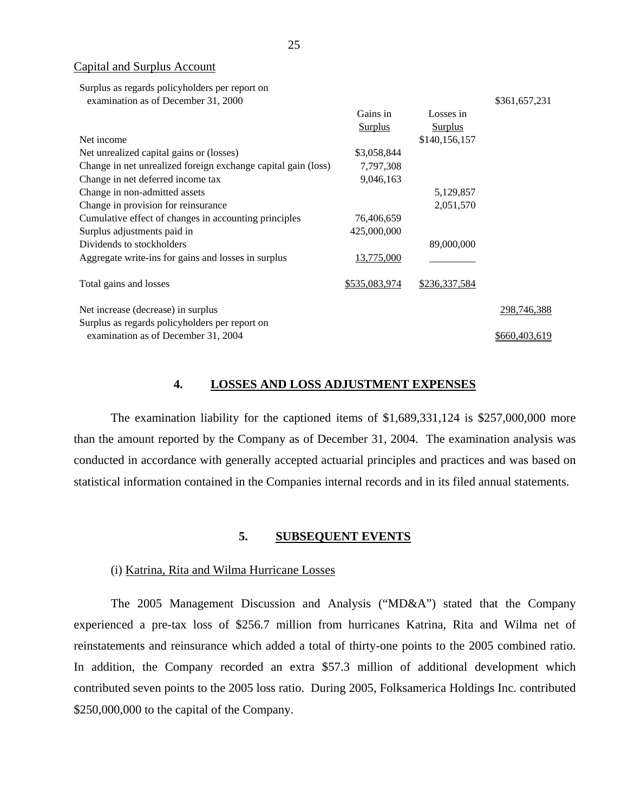Capital and Surplus Account

Surplus as regards policyholders per report on

examination as of December 31, 2000

|                                                               | Gains in<br><b>Surplus</b> | Losses in<br><b>Surplus</b> |               |
|---------------------------------------------------------------|----------------------------|-----------------------------|---------------|
| Net income                                                    |                            | \$140,156,157               |               |
| Net unrealized capital gains or (losses)                      | \$3,058,844                |                             |               |
| Change in net unrealized foreign exchange capital gain (loss) | 7,797,308                  |                             |               |
| Change in net deferred income tax                             | 9,046,163                  |                             |               |
| Change in non-admitted assets                                 |                            | 5,129,857                   |               |
| Change in provision for reinsurance                           |                            | 2,051,570                   |               |
| Cumulative effect of changes in accounting principles         | 76,406,659                 |                             |               |
| Surplus adjustments paid in                                   | 425,000,000                |                             |               |
| Dividends to stockholders                                     |                            | 89,000,000                  |               |
| Aggregate write-ins for gains and losses in surplus           | 13,775,000                 |                             |               |
| Total gains and losses                                        | <u>\$535,083,974</u>       | \$236,337,584               |               |
| Net increase (decrease) in surplus                            |                            |                             | 298,746,388   |
| Surplus as regards policyholders per report on                |                            |                             |               |
| examination as of December 31, 2004                           |                            |                             | \$660,403,619 |

#### **4. LOSSES AND LOSS ADJUSTMENT EXPENSES**

\$361,657,231

The examination liability for the captioned items of \$1,689,331,124 is \$257,000,000 more than the amount reported by the Company as of December 31, 2004. The examination analysis was conducted in accordance with generally accepted actuarial principles and practices and was based on statistical information contained in the Companies internal records and in its filed annual statements.

#### **5. SUBSEQUENT EVENTS**

#### (i) Katrina, Rita and Wilma Hurricane Losses

The 2005 Management Discussion and Analysis ("MD&A") stated that the Company experienced a pre-tax loss of \$256.7 million from hurricanes Katrina, Rita and Wilma net of reinstatements and reinsurance which added a total of thirty-one points to the 2005 combined ratio. In addition, the Company recorded an extra \$57.3 million of additional development which contributed seven points to the 2005 loss ratio. During 2005, Folksamerica Holdings Inc. contributed \$250,000,000 to the capital of the Company.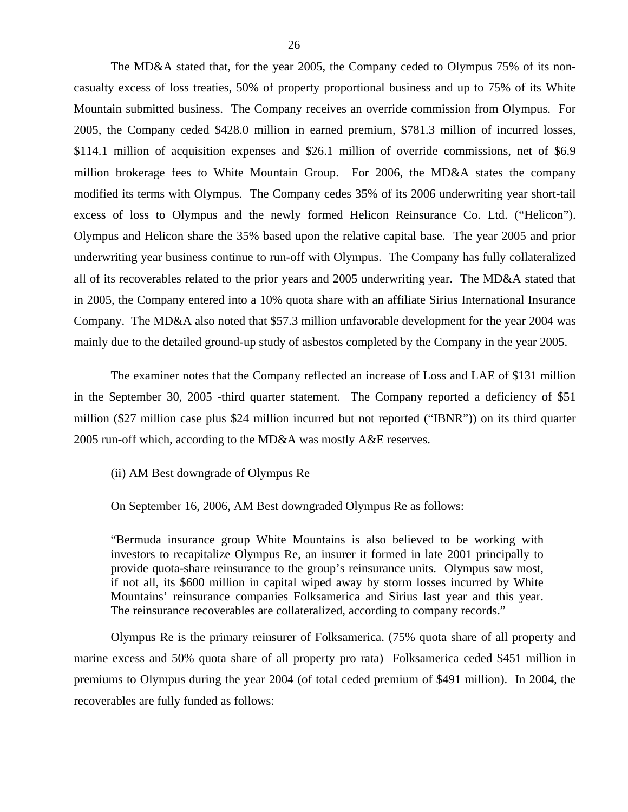The MD&A stated that, for the year 2005, the Company ceded to Olympus 75% of its noncasualty excess of loss treaties, 50% of property proportional business and up to 75% of its White Mountain submitted business. The Company receives an override commission from Olympus. For 2005, the Company ceded \$428.0 million in earned premium, \$781.3 million of incurred losses, \$114.1 million of acquisition expenses and \$26.1 million of override commissions, net of \$6.9 million brokerage fees to White Mountain Group. For 2006, the MD&A states the company modified its terms with Olympus. The Company cedes 35% of its 2006 underwriting year short-tail excess of loss to Olympus and the newly formed Helicon Reinsurance Co. Ltd. ("Helicon"). Olympus and Helicon share the 35% based upon the relative capital base. The year 2005 and prior underwriting year business continue to run-off with Olympus. The Company has fully collateralized all of its recoverables related to the prior years and 2005 underwriting year. The MD&A stated that in 2005, the Company entered into a 10% quota share with an affiliate Sirius International Insurance Company. The MD&A also noted that \$57.3 million unfavorable development for the year 2004 was mainly due to the detailed ground-up study of asbestos completed by the Company in the year 2005.

The examiner notes that the Company reflected an increase of Loss and LAE of \$131 million in the September 30, 2005 -third quarter statement. The Company reported a deficiency of \$51 million (\$27 million case plus \$24 million incurred but not reported ("IBNR")) on its third quarter 2005 run-off which, according to the MD&A was mostly A&E reserves.

#### (ii) AM Best downgrade of Olympus Re

On September 16, 2006, AM Best downgraded Olympus Re as follows:

"Bermuda insurance group White Mountains is also believed to be working with investors to recapitalize Olympus Re, an insurer it formed in late 2001 principally to provide quota-share reinsurance to the group's reinsurance units. Olympus saw most, if not all, its \$600 million in capital wiped away by storm losses incurred by White Mountains' reinsurance companies Folksamerica and Sirius last year and this year. The reinsurance recoverables are collateralized, according to company records."

Olympus Re is the primary reinsurer of Folksamerica. (75% quota share of all property and marine excess and 50% quota share of all property pro rata) Folksamerica ceded \$451 million in premiums to Olympus during the year 2004 (of total ceded premium of \$491 million). In 2004, the recoverables are fully funded as follows: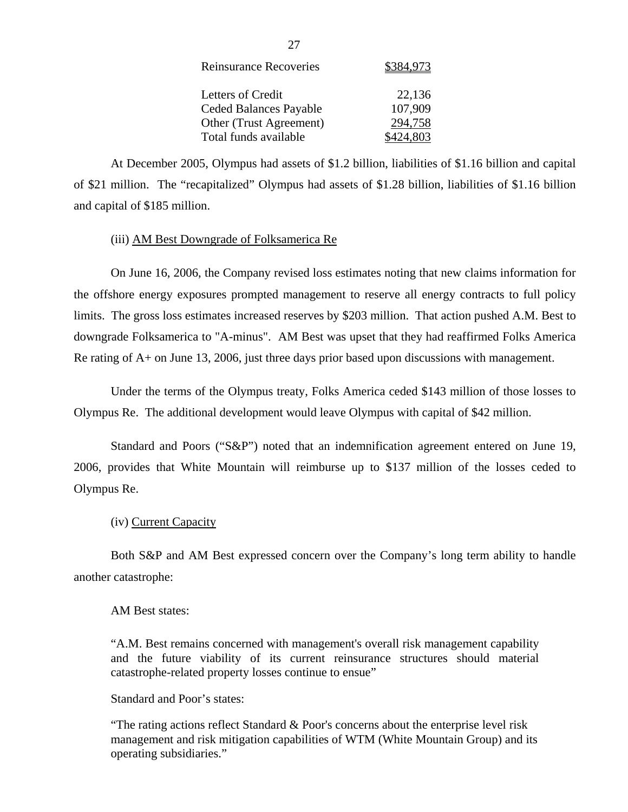| <b>Reinsurance Recoveries</b> | \$384,973 |
|-------------------------------|-----------|
| <b>Letters of Credit</b>      | 22,136    |
| Ceded Balances Payable        | 107,909   |
| Other (Trust Agreement)       | 294,758   |
| Total funds available         | \$424,803 |

At December 2005, Olympus had assets of \$1.2 billion, liabilities of \$1.16 billion and capital of \$21 million. The "recapitalized" Olympus had assets of \$1.28 billion, liabilities of \$1.16 billion and capital of \$185 million.

#### (iii) AM Best Downgrade of Folksamerica Re

On June 16, 2006, the Company revised loss estimates noting that new claims information for the offshore energy exposures prompted management to reserve all energy contracts to full policy limits. The gross loss estimates increased reserves by \$203 million. That action pushed A.M. Best to downgrade Folksamerica to "A-minus". AM Best was upset that they had reaffirmed Folks America Re rating of A+ on June 13, 2006, just three days prior based upon discussions with management.

Under the terms of the Olympus treaty, Folks America ceded \$143 million of those losses to Olympus Re. The additional development would leave Olympus with capital of \$42 million.

Standard and Poors ("S&P") noted that an indemnification agreement entered on June 19, 2006, provides that White Mountain will reimburse up to \$137 million of the losses ceded to Olympus Re.

#### (iv) Current Capacity

Both S&P and AM Best expressed concern over the Company's long term ability to handle another catastrophe:

#### AM Best states:

"A.M. Best remains concerned with management's overall risk management capability and the future viability of its current reinsurance structures should material catastrophe-related property losses continue to ensue"

Standard and Poor's states:

"The rating actions reflect Standard & Poor's concerns about the enterprise level risk management and risk mitigation capabilities of WTM (White Mountain Group) and its operating subsidiaries."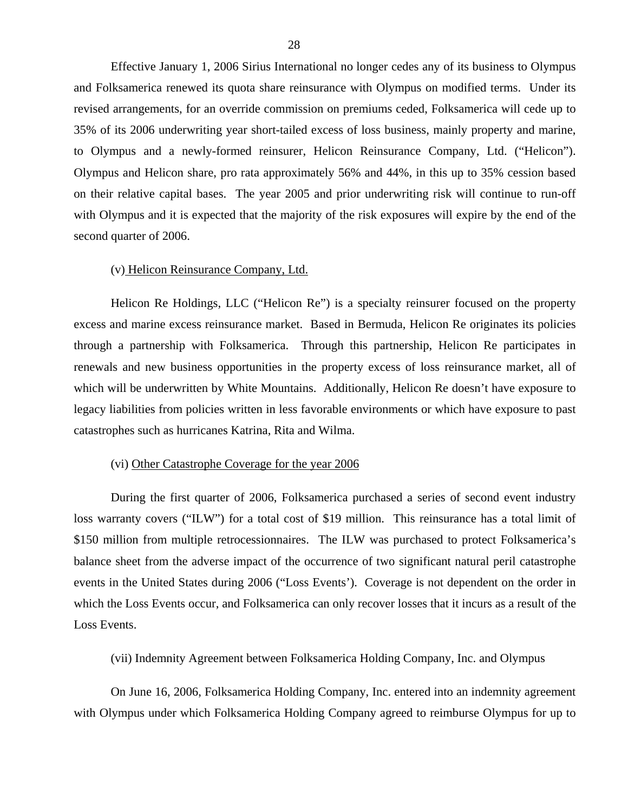Effective January 1, 2006 Sirius International no longer cedes any of its business to Olympus and Folksamerica renewed its quota share reinsurance with Olympus on modified terms. Under its revised arrangements, for an override commission on premiums ceded, Folksamerica will cede up to 35% of its 2006 underwriting year short-tailed excess of loss business, mainly property and marine, to Olympus and a newly-formed reinsurer, Helicon Reinsurance Company, Ltd. ("Helicon"). Olympus and Helicon share, pro rata approximately 56% and 44%, in this up to 35% cession based on their relative capital bases. The year 2005 and prior underwriting risk will continue to run-off with Olympus and it is expected that the majority of the risk exposures will expire by the end of the second quarter of 2006.

#### (v) Helicon Reinsurance Company, Ltd.

Helicon Re Holdings, LLC ("Helicon Re") is a specialty reinsurer focused on the property excess and marine excess reinsurance market. Based in Bermuda, Helicon Re originates its policies through a partnership with Folksamerica. Through this partnership, Helicon Re participates in renewals and new business opportunities in the property excess of loss reinsurance market, all of which will be underwritten by White Mountains. Additionally, Helicon Re doesn't have exposure to legacy liabilities from policies written in less favorable environments or which have exposure to past catastrophes such as hurricanes Katrina, Rita and Wilma.

#### (vi) Other Catastrophe Coverage for the year 2006

During the first quarter of 2006, Folksamerica purchased a series of second event industry loss warranty covers ("ILW") for a total cost of \$19 million. This reinsurance has a total limit of \$150 million from multiple retrocessionnaires. The ILW was purchased to protect Folksamerica's balance sheet from the adverse impact of the occurrence of two significant natural peril catastrophe events in the United States during 2006 ("Loss Events'). Coverage is not dependent on the order in which the Loss Events occur, and Folksamerica can only recover losses that it incurs as a result of the Loss Events.

(vii) Indemnity Agreement between Folksamerica Holding Company, Inc. and Olympus

On June 16, 2006, Folksamerica Holding Company, Inc. entered into an indemnity agreement with Olympus under which Folksamerica Holding Company agreed to reimburse Olympus for up to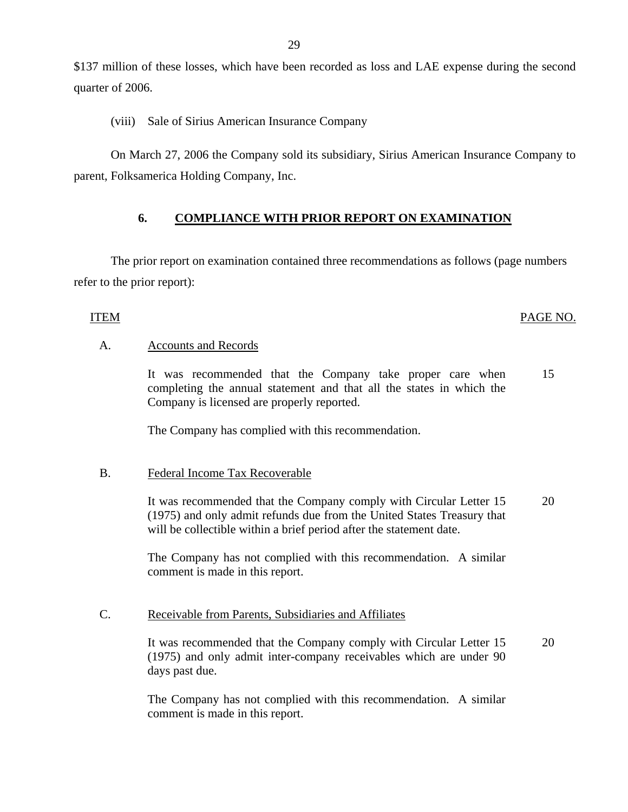<span id="page-30-0"></span>\$137 million of these losses, which have been recorded as loss and LAE expense during the second quarter of 2006.

(viii) Sale of Sirius American Insurance Company

On March 27, 2006 the Company sold its subsidiary, Sirius American Insurance Company to parent, Folksamerica Holding Company, Inc.

### **6. COMPLIANCE WITH PRIOR REPORT ON EXAMINATION**

The prior report on examination contained three recommendations as follows (page numbers refer to the prior report):

#### **ITEM**

#### PAGE NO.

#### A. Accounts and Records

It was recommended that the Company take proper care when 15 completing the annual statement and that all the states in which the Company is licensed are properly reported.

The Company has complied with this recommendation.

#### B. Federal Income Tax Recoverable

It was recommended that the Company comply with Circular Letter 15 20 (1975) and only admit refunds due from the United States Treasury that will be collectible within a brief period after the statement date.

The Company has not complied with this recommendation. A similar comment is made in this report.

#### C. Receivable from Parents, Subsidiaries and Affiliates

It was recommended that the Company comply with Circular Letter 15 20 (1975) and only admit inter-company receivables which are under 90 days past due.

The Company has not complied with this recommendation. A similar comment is made in this report.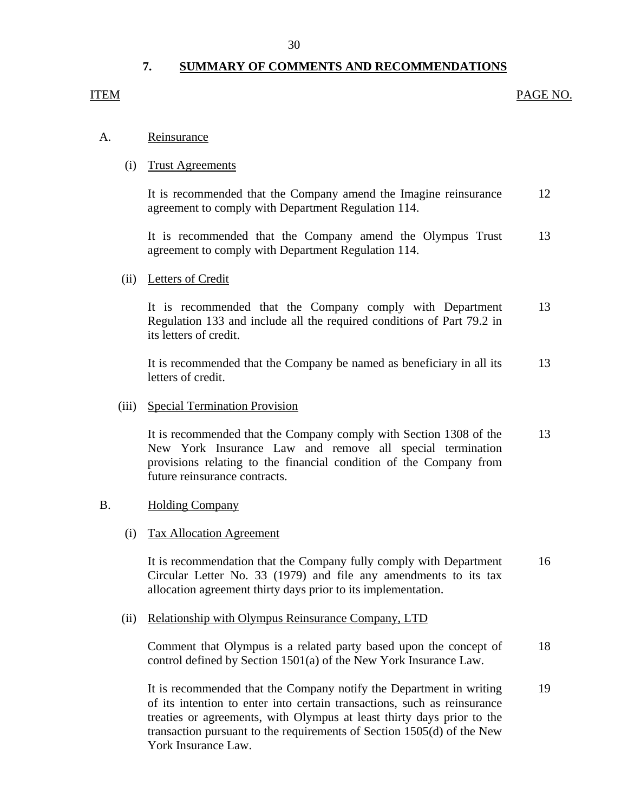## **7. SUMMARY OF COMMENTS AND RECOMMENDATIONS**

#### <span id="page-31-0"></span>ITEM

#### PAGE NO.

#### Reinsurance

## A. <u>Reinsurance</u><br>(i) Trust Agreements

It is recommended that the Company amend the Imagine reinsurance agreement to comply with Department Regulation 114. 12

It is recommended that the Company amend the Olympus Trust agreement to comply with Department Regulation 114. 13

#### (ii) Letters of Credit

It is recommended that the Company comply with Department Regulation 133 and include all the required conditions of Part 79.2 in its letters of credit. 13

It is recommended that the Company be named as beneficiary in all its letters of credit. 13

#### (iii) Special Termination Provision

It is recommended that the Company comply with Section 1308 of the New York Insurance Law and remove all special termination provisions relating to the financial condition of the Company from future reinsurance contracts. 13

#### **Holding Company**

# B. Holding Company<br>
(i) Tax Allocation Agreement

It is recommendation that the Company fully comply with Department Circular Letter No. 33 (1979) and file any amendments to its tax allocation agreement thirty days prior to its implementation. 16

#### (ii) Relationship with Olympus Reinsurance Company, LTD

Comment that Olympus is a related party based upon the concept of control defined by Section 1501(a) of the New York Insurance Law. 18

It is recommended that the Company notify the Department in writing of its intention to enter into certain transactions, such as reinsurance treaties or agreements, with Olympus at least thirty days prior to the transaction pursuant to the requirements of Section 1505(d) of the New York Insurance Law. 19

#### 30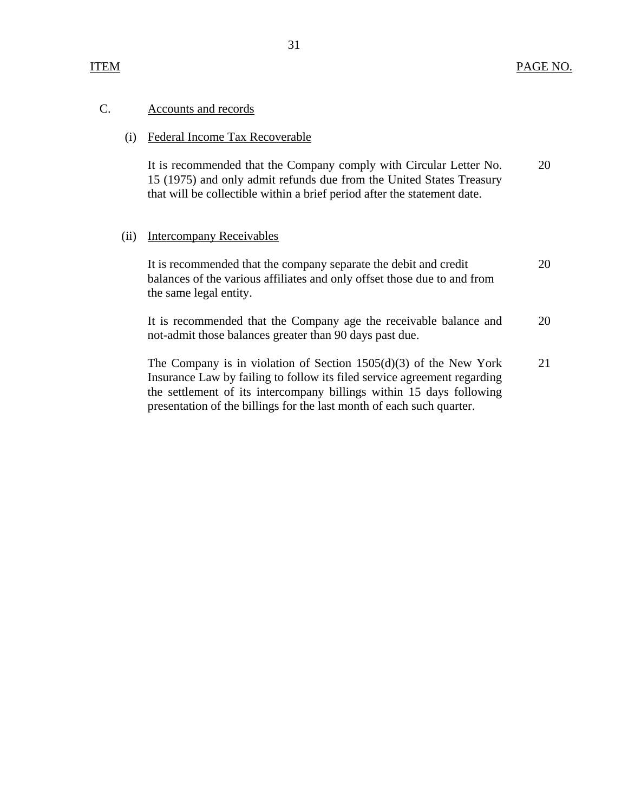#### Accounts and records C.

Accounts and records<br>
(i) Federal Income Tax Recoverable

It is recommended that the Company comply with Circular Letter No. 15 (1975) and only admit refunds due from the United States Treasury that will be collectible within a brief period after the statement date. 20

#### (ii) Intercompany Receivables

It is recommended that the company separate the debit and credit balances of the various affiliates and only offset those due to and from the same legal entity. 20

It is recommended that the Company age the receivable balance and not-admit those balances greater than 90 days past due. 20

The Company is in violation of Section 1505(d)(3) of the New York Insurance Law by failing to follow its filed service agreement regarding the settlement of its intercompany billings within 15 days following presentation of the billings for the last month of each such quarter. 21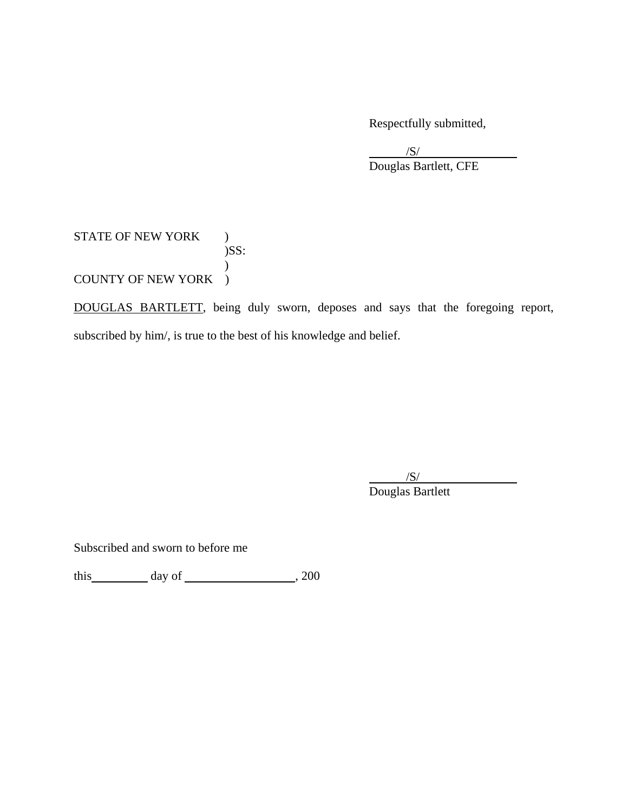Respectfully submitted,

 $/S/$  $\overline{\phantom{a}}$ /S/ Douglas Bartlett, CFE

STATE OF NEW YORK ) )SS:  $\mathcal{L}$ COUNTY OF NEW YORK )

DOUGLAS BARTLETT, being duly sworn, deposes and says that the foregoing report, subscribed by him/, is true to the best of his knowledge and belief.

 $/S/$  $\overline{\phantom{a}}$ /S/ Douglas Bartlett

Subscribed and sworn to before me

this day of  $\frac{1}{200}$ , 200